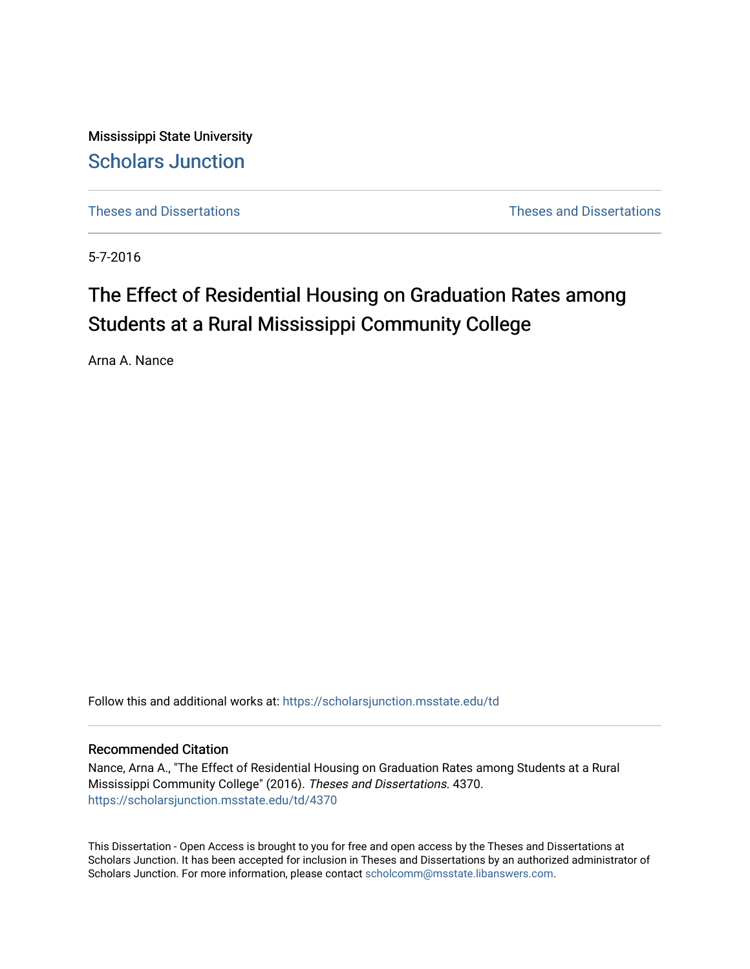Mississippi State University [Scholars Junction](https://scholarsjunction.msstate.edu/) 

[Theses and Dissertations](https://scholarsjunction.msstate.edu/td) [Theses and Dissertations](https://scholarsjunction.msstate.edu/theses-dissertations) 

5-7-2016

# The Effect of Residential Housing on Graduation Rates among Students at a Rural Mississippi Community College

Arna A. Nance

Follow this and additional works at: [https://scholarsjunction.msstate.edu/td](https://scholarsjunction.msstate.edu/td?utm_source=scholarsjunction.msstate.edu%2Ftd%2F4370&utm_medium=PDF&utm_campaign=PDFCoverPages) 

#### Recommended Citation

Nance, Arna A., "The Effect of Residential Housing on Graduation Rates among Students at a Rural Mississippi Community College" (2016). Theses and Dissertations. 4370. [https://scholarsjunction.msstate.edu/td/4370](https://scholarsjunction.msstate.edu/td/4370?utm_source=scholarsjunction.msstate.edu%2Ftd%2F4370&utm_medium=PDF&utm_campaign=PDFCoverPages) 

This Dissertation - Open Access is brought to you for free and open access by the Theses and Dissertations at Scholars Junction. It has been accepted for inclusion in Theses and Dissertations by an authorized administrator of Scholars Junction. For more information, please contact [scholcomm@msstate.libanswers.com.](mailto:scholcomm@msstate.libanswers.com)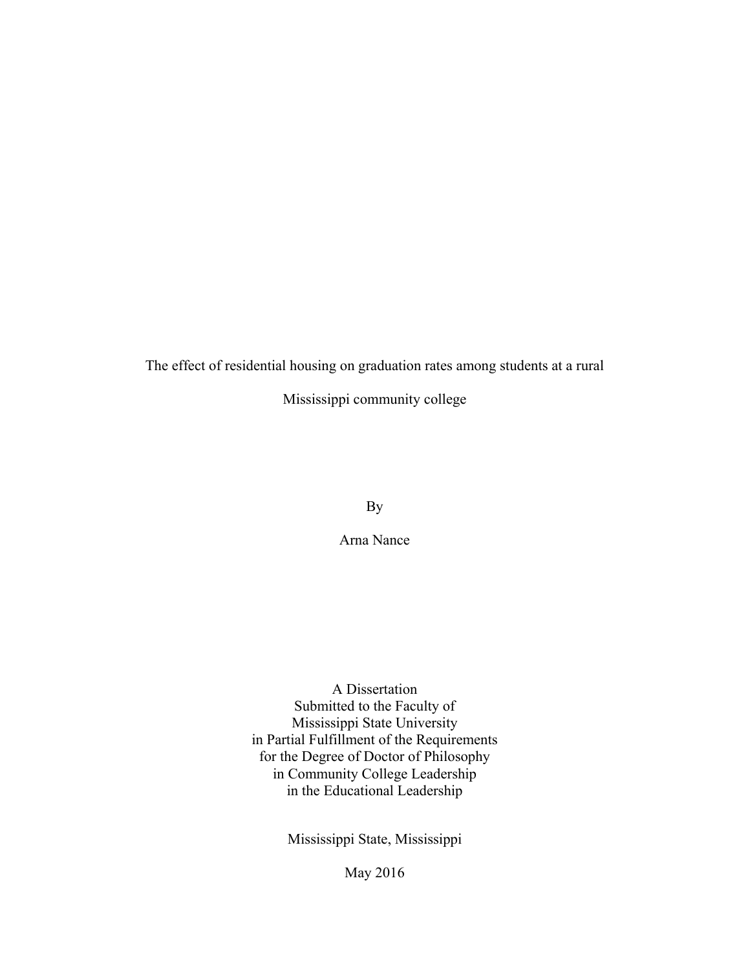The effect of residential housing on graduation rates among students at a rural Mississippi community college

By

Arna Nance

A Dissertation Submitted to the Faculty of Mississippi State University in Partial Fulfillment of the Requirements for the Degree of Doctor of Philosophy in Community College Leadership in the Educational Leadership

Mississippi State, Mississippi

May 2016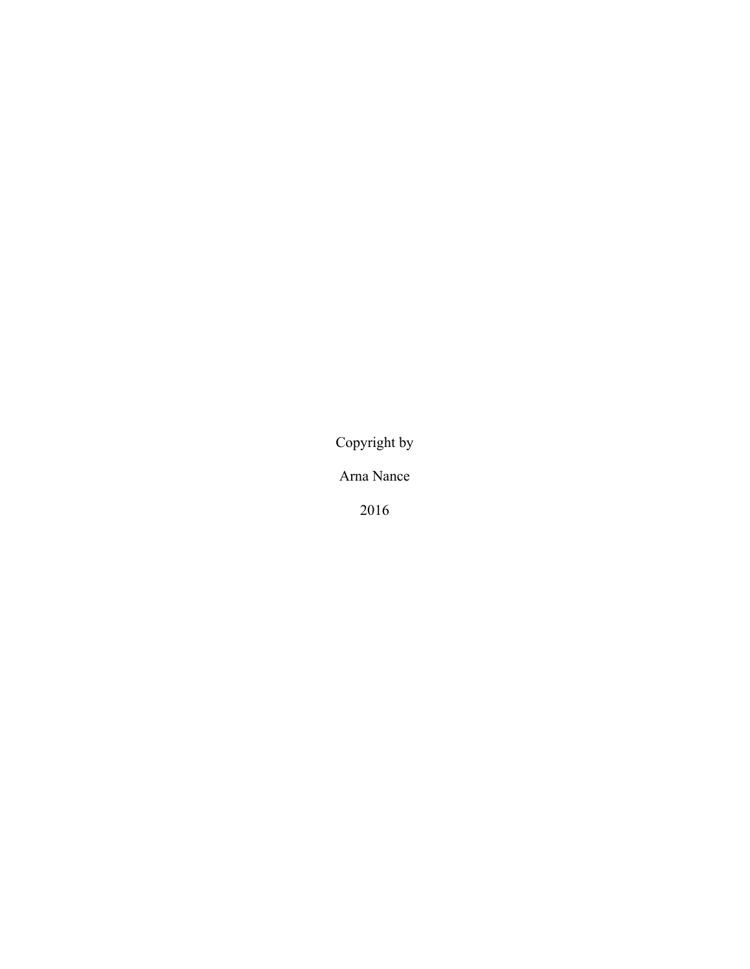Copyright by

Arna Nance

2016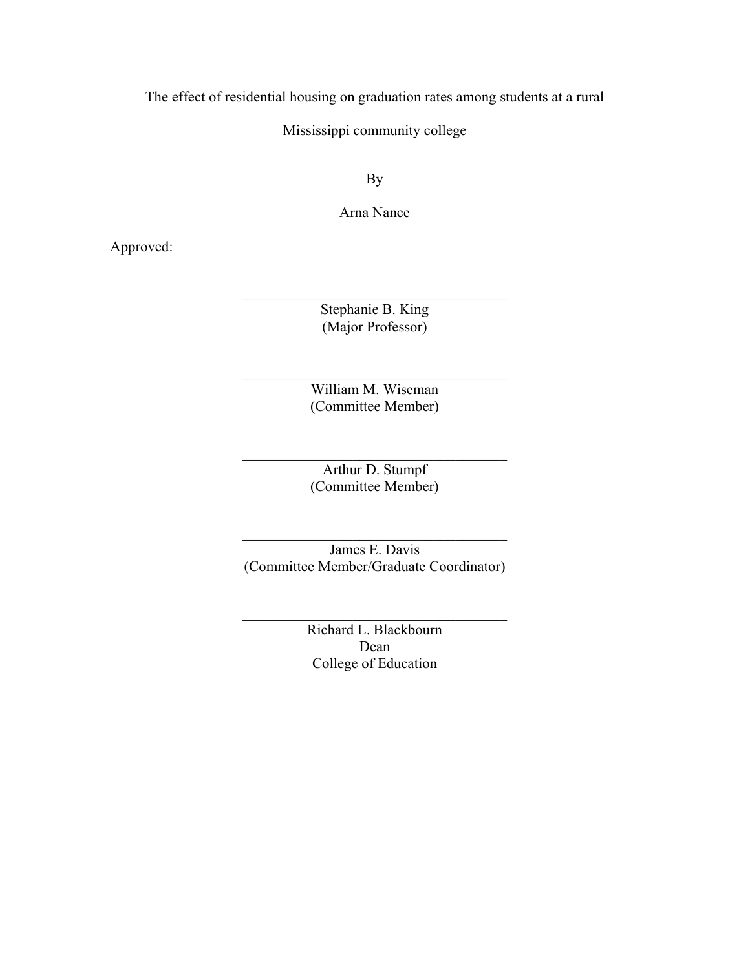The effect of residential housing on graduation rates among students at a rural

Mississippi community college

By

Arna Nance

Approved:

Stephanie B. King (Major Professor)

 $\_$ 

 (Committee Member) William M. Wiseman

 $\_$ 

 Arthur D. Stumpf (Committee Member)

 $\mathcal{L}_\text{max}$  , and the set of the set of the set of the set of the set of the set of the set of the set of the set of the set of the set of the set of the set of the set of the set of the set of the set of the set of the

James E. Davis (Committee Member/Graduate Coordinator)

 $\_$ 

Richard L. Blackbourn Dean College of Education

 $\_$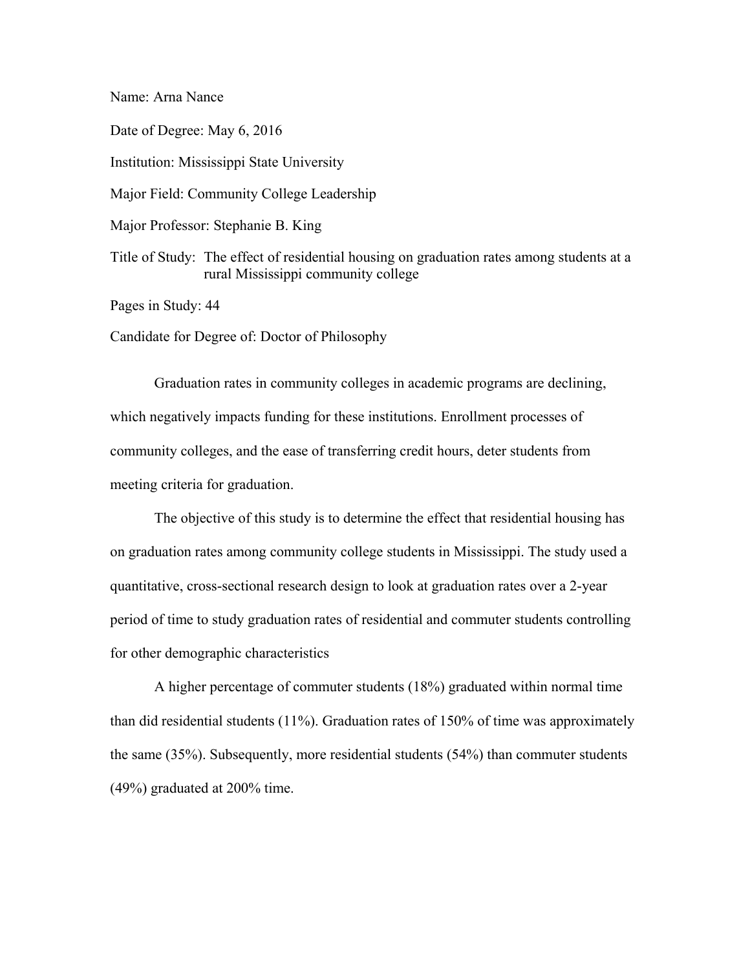Name: Arna Nance

Date of Degree: May 6, 2016 Institution: Mississippi State University Major Field: Community College Leadership Major Professor: Stephanie B. King Title of Study: The effect of residential housing on graduation rates among students at a

rural Mississippi community college

Pages in Study: 44

Candidate for Degree of: Doctor of Philosophy

Graduation rates in community colleges in academic programs are declining, which negatively impacts funding for these institutions. Enrollment processes of community colleges, and the ease of transferring credit hours, deter students from meeting criteria for graduation.

The objective of this study is to determine the effect that residential housing has on graduation rates among community college students in Mississippi. The study used a quantitative, cross-sectional research design to look at graduation rates over a 2-year period of time to study graduation rates of residential and commuter students controlling for other demographic characteristics

A higher percentage of commuter students (18%) graduated within normal time than did residential students (11%). Graduation rates of 150% of time was approximately the same (35%). Subsequently, more residential students (54%) than commuter students (49%) graduated at 200% time.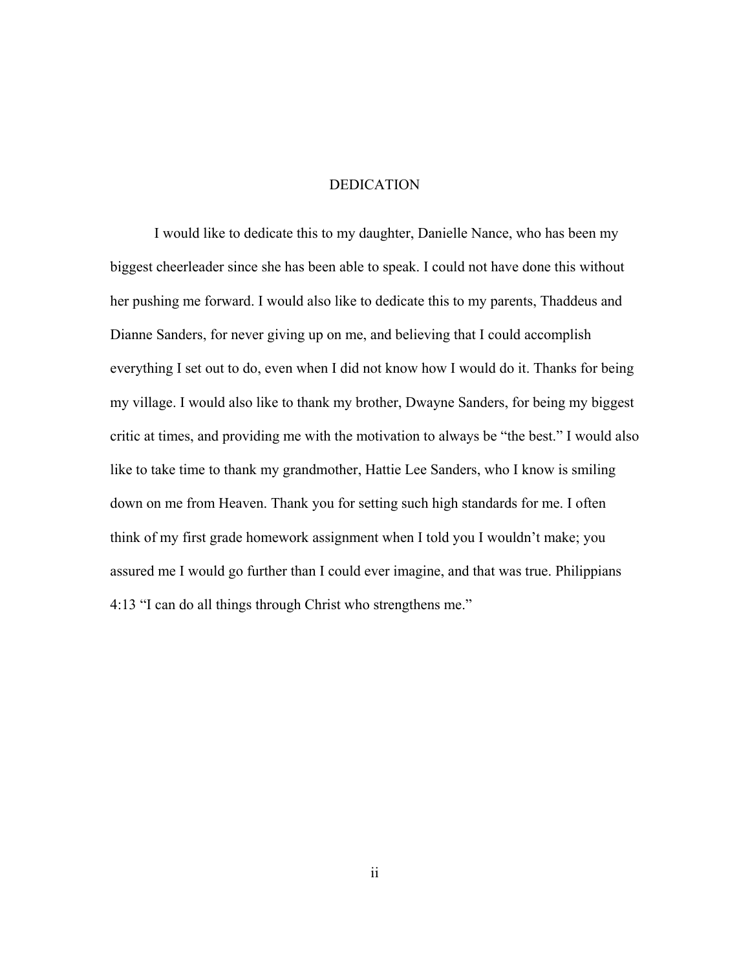#### DEDICATION

<span id="page-5-0"></span>I would like to dedicate this to my daughter, Danielle Nance, who has been my biggest cheerleader since she has been able to speak. I could not have done this without her pushing me forward. I would also like to dedicate this to my parents, Thaddeus and Dianne Sanders, for never giving up on me, and believing that I could accomplish everything I set out to do, even when I did not know how I would do it. Thanks for being my village. I would also like to thank my brother, Dwayne Sanders, for being my biggest critic at times, and providing me with the motivation to always be "the best." I would also like to take time to thank my grandmother, Hattie Lee Sanders, who I know is smiling down on me from Heaven. Thank you for setting such high standards for me. I often think of my first grade homework assignment when I told you I wouldn't make; you assured me I would go further than I could ever imagine, and that was true. Philippians 4:13 "I can do all things through Christ who strengthens me."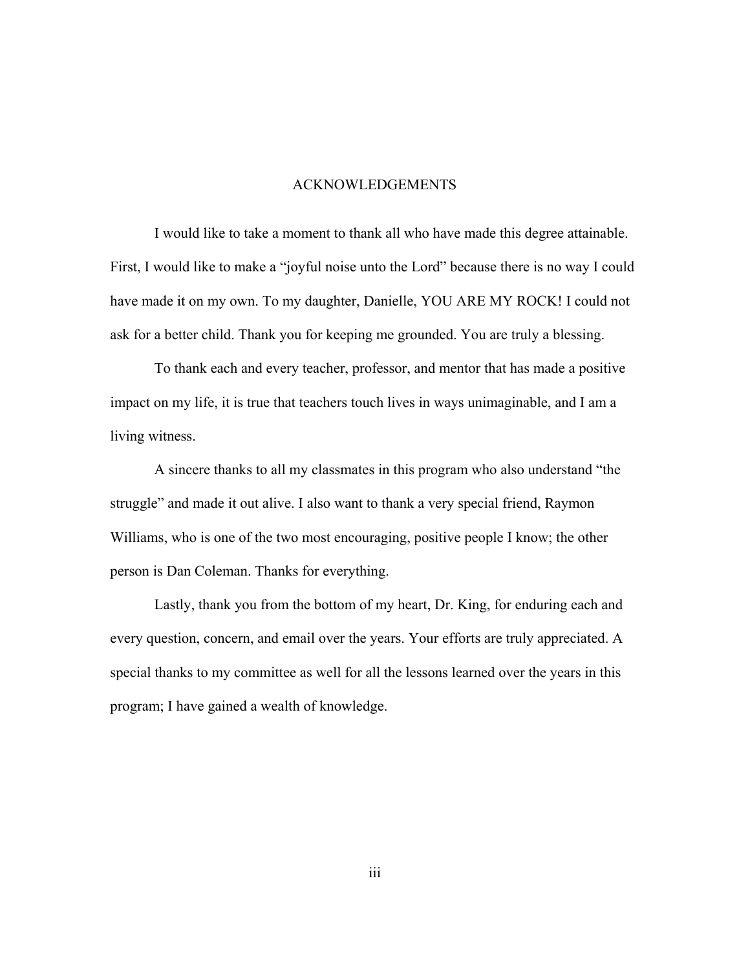#### ACKNOWLEDGEMENTS

<span id="page-6-0"></span>I would like to take a moment to thank all who have made this degree attainable. First, I would like to make a "joyful noise unto the Lord" because there is no way I could have made it on my own. To my daughter, Danielle, YOU ARE MY ROCK! I could not ask for a better child. Thank you for keeping me grounded. You are truly a blessing.

 To thank each and every teacher, professor, and mentor that has made a positive impact on my life, it is true that teachers touch lives in ways unimaginable, and I am a living witness.

A sincere thanks to all my classmates in this program who also understand "the struggle" and made it out alive. I also want to thank a very special friend, Raymon Williams, who is one of the two most encouraging, positive people I know; the other person is Dan Coleman. Thanks for everything.

Lastly, thank you from the bottom of my heart, Dr. King, for enduring each and every question, concern, and email over the years. Your efforts are truly appreciated. A special thanks to my committee as well for all the lessons learned over the years in this program; I have gained a wealth of knowledge.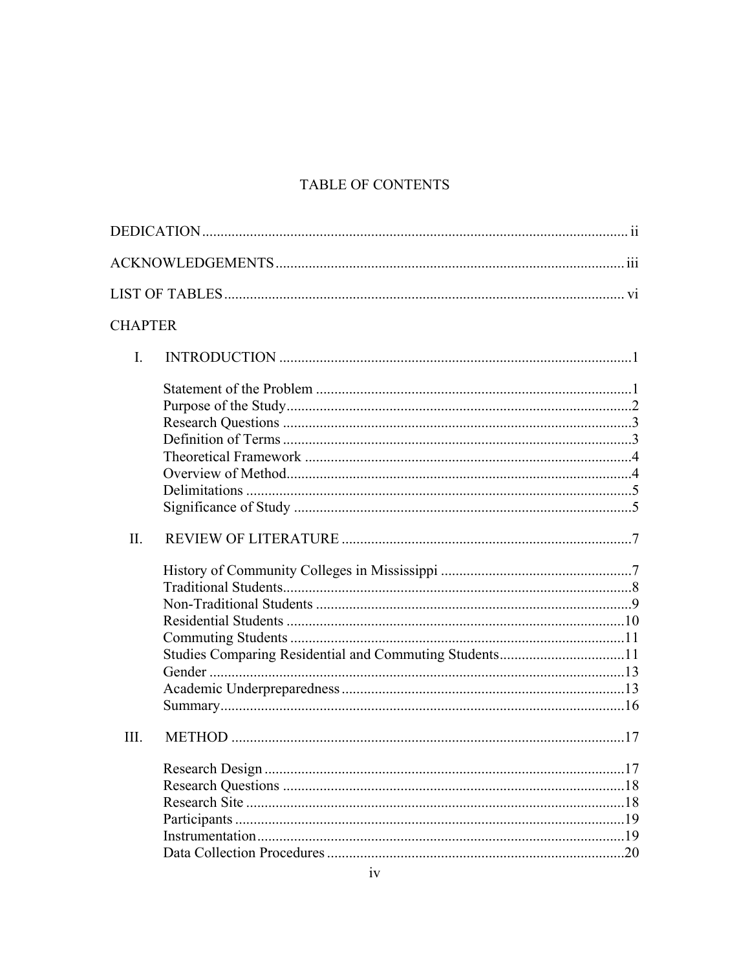# TABLE OF CONTENTS

| <b>CHAPTER</b> |                                                        |  |
|----------------|--------------------------------------------------------|--|
| $I_{\cdot}$    |                                                        |  |
|                |                                                        |  |
|                |                                                        |  |
|                |                                                        |  |
|                |                                                        |  |
|                |                                                        |  |
|                |                                                        |  |
|                |                                                        |  |
|                |                                                        |  |
| II.            |                                                        |  |
|                |                                                        |  |
|                |                                                        |  |
|                |                                                        |  |
|                |                                                        |  |
|                |                                                        |  |
|                | Studies Comparing Residential and Commuting Students11 |  |
|                |                                                        |  |
|                |                                                        |  |
|                |                                                        |  |
| III.           |                                                        |  |
|                |                                                        |  |
|                |                                                        |  |
|                |                                                        |  |
|                |                                                        |  |
|                |                                                        |  |
|                |                                                        |  |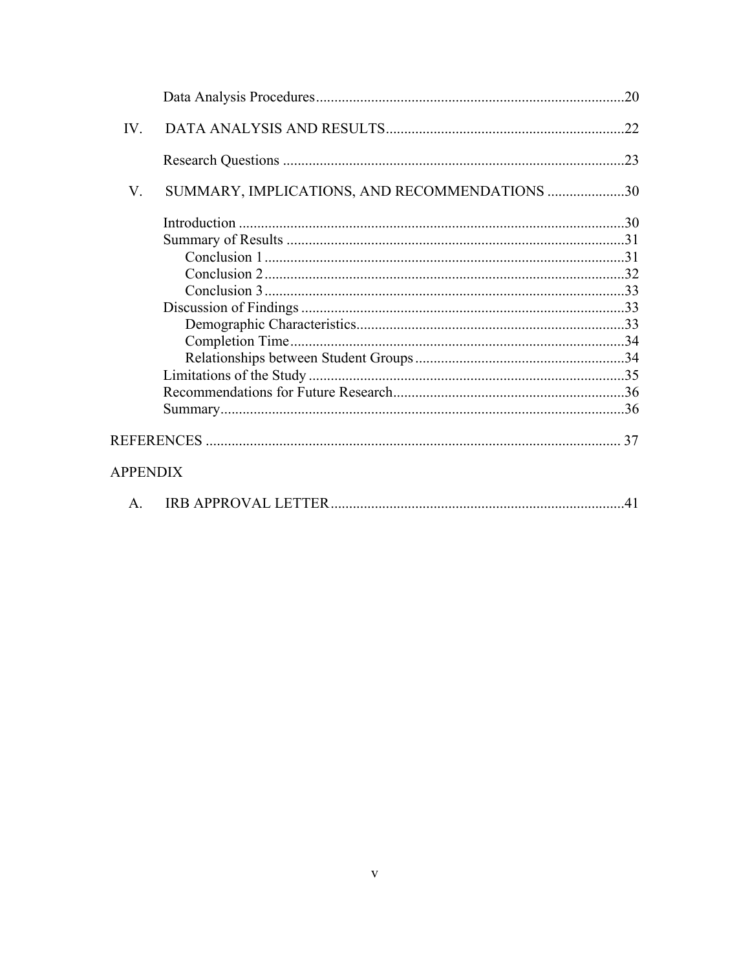|                 |                                               | .20 |
|-----------------|-----------------------------------------------|-----|
| IV.             |                                               |     |
|                 |                                               |     |
| V.              | SUMMARY, IMPLICATIONS, AND RECOMMENDATIONS 30 |     |
|                 |                                               |     |
|                 |                                               |     |
|                 |                                               |     |
|                 |                                               |     |
|                 |                                               |     |
|                 |                                               |     |
|                 |                                               |     |
|                 |                                               |     |
|                 |                                               |     |
|                 |                                               |     |
|                 |                                               |     |
|                 |                                               |     |
|                 |                                               |     |
| <b>APPENDIX</b> |                                               |     |
| A.              |                                               |     |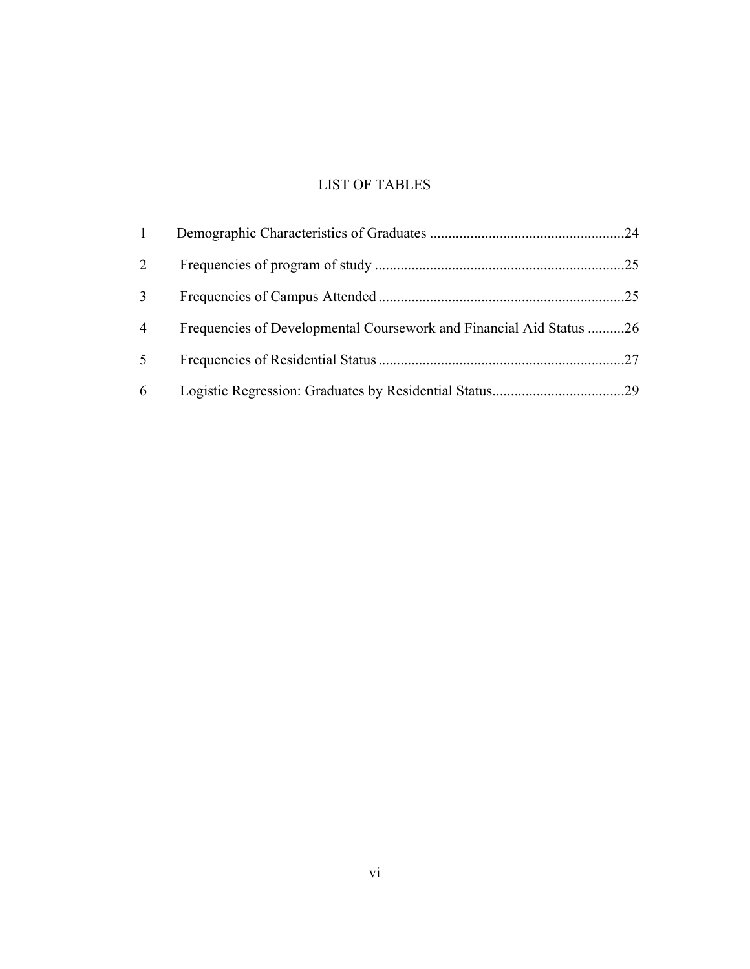# LIST OF TABLES

<span id="page-9-0"></span>

| $\overline{2}$ |                                                                     |  |
|----------------|---------------------------------------------------------------------|--|
| 3              |                                                                     |  |
| $\overline{4}$ | Frequencies of Developmental Coursework and Financial Aid Status 26 |  |
| 5              |                                                                     |  |
| 6              |                                                                     |  |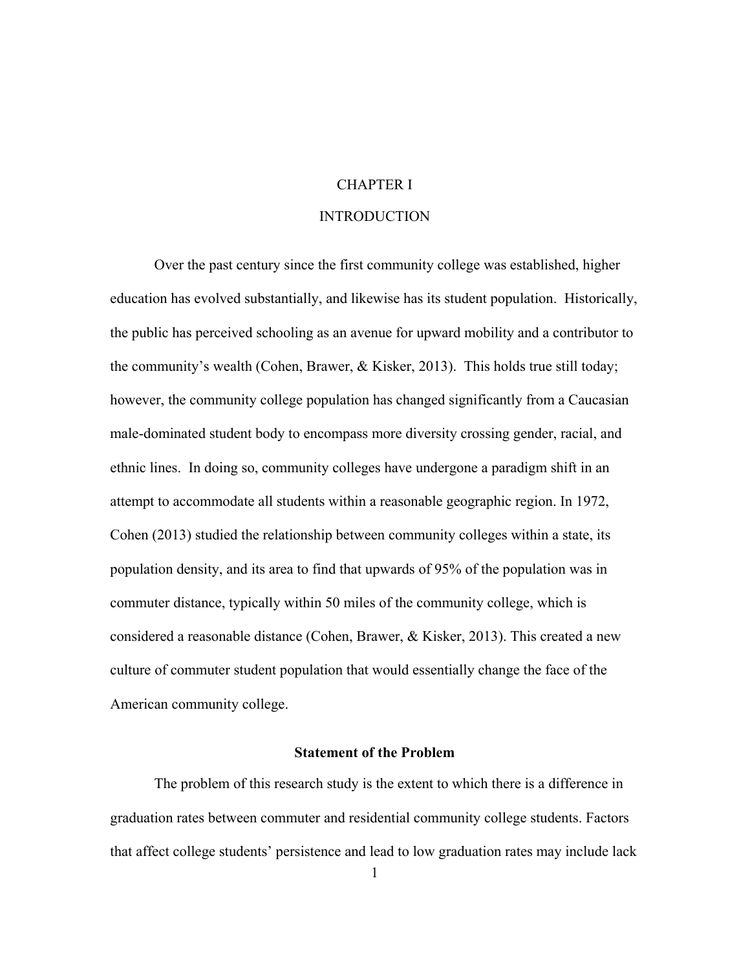## CHAPTER I

## **INTRODUCTION**

<span id="page-10-1"></span><span id="page-10-0"></span>Over the past century since the first community college was established, higher education has evolved substantially, and likewise has its student population. Historically, the public has perceived schooling as an avenue for upward mobility and a contributor to the community's wealth (Cohen, Brawer, & Kisker, 2013). This holds true still today; however, the community college population has changed significantly from a Caucasian male-dominated student body to encompass more diversity crossing gender, racial, and ethnic lines. In doing so, community colleges have undergone a paradigm shift in an attempt to accommodate all students within a reasonable geographic region. In 1972, Cohen (2013) studied the relationship between community colleges within a state, its population density, and its area to find that upwards of 95% of the population was in commuter distance, typically within 50 miles of the community college, which is considered a reasonable distance (Cohen, Brawer, & Kisker, 2013). This created a new culture of commuter student population that would essentially change the face of the American community college.

### **Statement of the Problem**

<span id="page-10-2"></span>The problem of this research study is the extent to which there is a difference in graduation rates between commuter and residential community college students. Factors that affect college students' persistence and lead to low graduation rates may include lack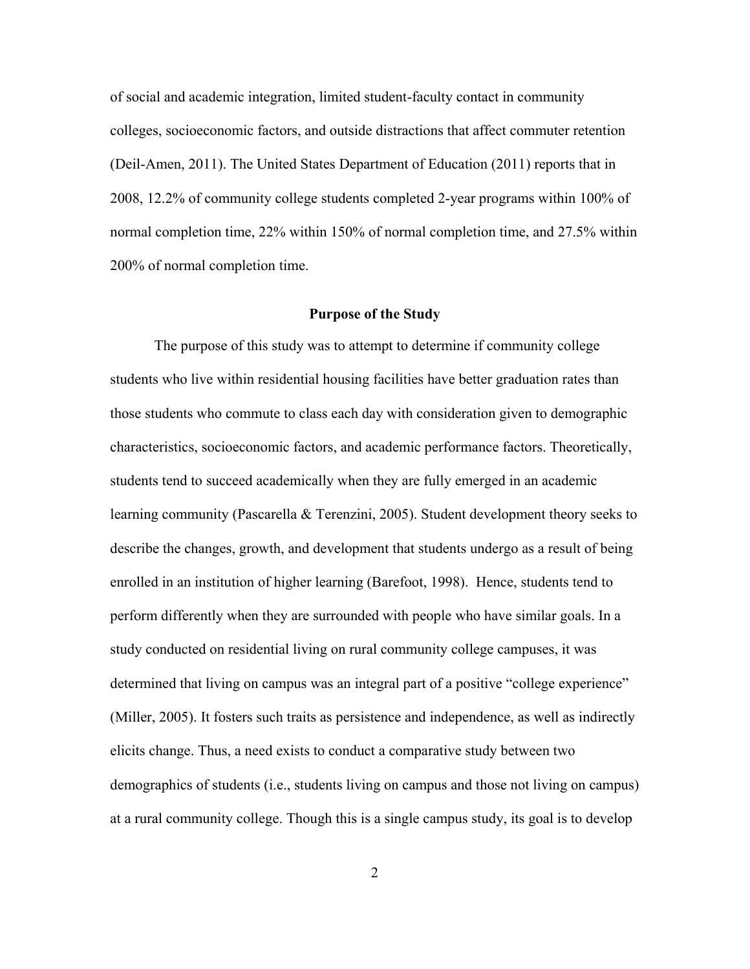of social and academic integration, limited student-faculty contact in community colleges, socioeconomic factors, and outside distractions that affect commuter retention (Deil-Amen, 2011). The United States Department of Education (2011) reports that in 2008, 12.2% of community college students completed 2-year programs within 100% of normal completion time, 22% within 150% of normal completion time, and 27.5% within 200% of normal completion time.

#### **Purpose of the Study**

<span id="page-11-0"></span>The purpose of this study was to attempt to determine if community college students who live within residential housing facilities have better graduation rates than those students who commute to class each day with consideration given to demographic characteristics, socioeconomic factors, and academic performance factors. Theoretically, students tend to succeed academically when they are fully emerged in an academic learning community (Pascarella & Terenzini, 2005). Student development theory seeks to describe the changes, growth, and development that students undergo as a result of being enrolled in an institution of higher learning (Barefoot, 1998). Hence, students tend to perform differently when they are surrounded with people who have similar goals. In a study conducted on residential living on rural community college campuses, it was determined that living on campus was an integral part of a positive "college experience" (Miller, 2005). It fosters such traits as persistence and independence, as well as indirectly elicits change. Thus, a need exists to conduct a comparative study between two demographics of students (i.e., students living on campus and those not living on campus) at a rural community college. Though this is a single campus study, its goal is to develop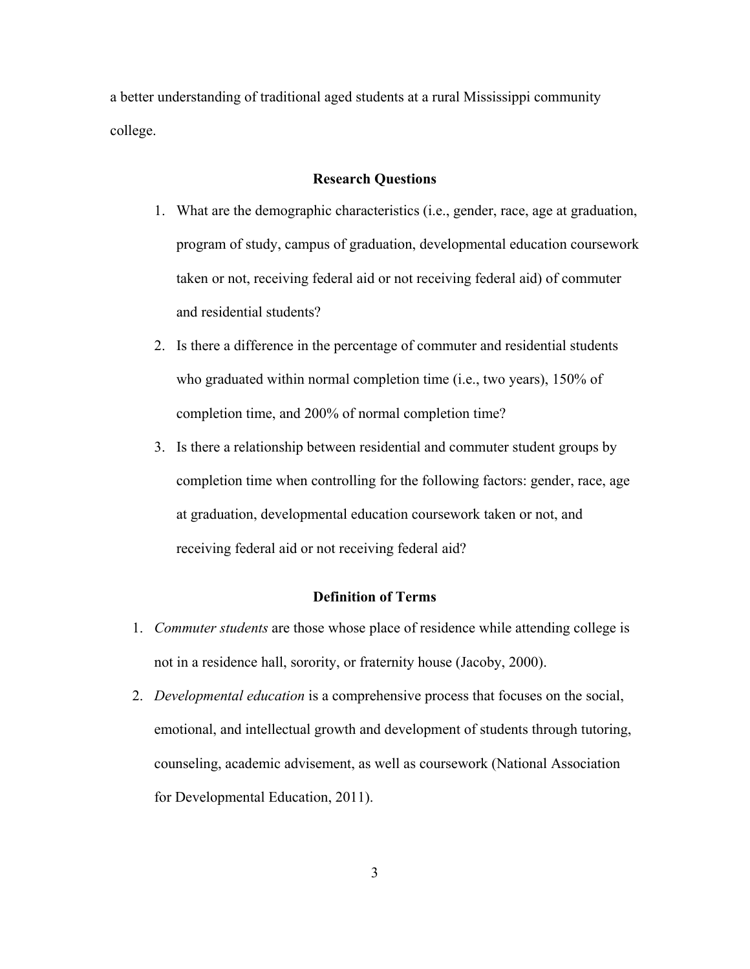<span id="page-12-0"></span>a better understanding of traditional aged students at a rural Mississippi community college.

#### **Research Questions**

- 1. What are the demographic characteristics (i.e., gender, race, age at graduation, program of study, campus of graduation, developmental education coursework taken or not, receiving federal aid or not receiving federal aid) of commuter and residential students?
- 2. Is there a difference in the percentage of commuter and residential students who graduated within normal completion time (i.e., two years), 150% of completion time, and 200% of normal completion time?
- 3. Is there a relationship between residential and commuter student groups by completion time when controlling for the following factors: gender, race, age at graduation, developmental education coursework taken or not, and receiving federal aid or not receiving federal aid?

## **Definition of Terms**

- <span id="page-12-1"></span> 1. *Commuter students* are those whose place of residence while attending college is not in a residence hall, sorority, or fraternity house (Jacoby, 2000).
- 2. *Developmental education* is a comprehensive process that focuses on the social, emotional, and intellectual growth and development of students through tutoring, counseling, academic advisement, as well as coursework (National Association for Developmental Education, 2011).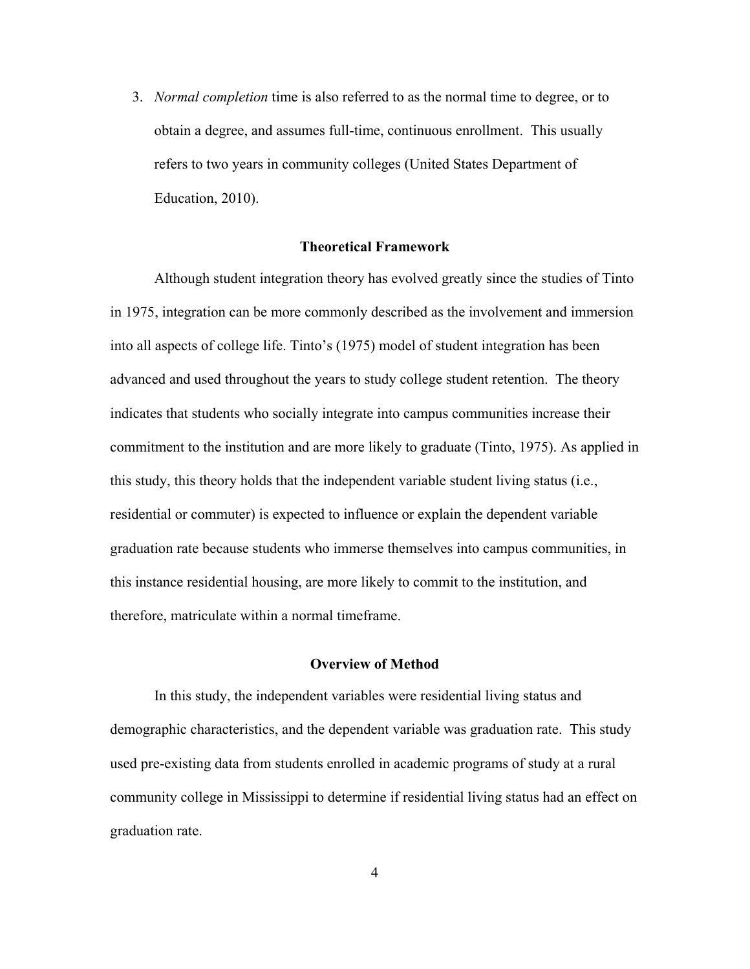3. *Normal completion* time is also referred to as the normal time to degree, or to obtain a degree, and assumes full-time, continuous enrollment. This usually refers to two years in community colleges (United States Department of Education, 2010).

#### **Theoretical Framework**

<span id="page-13-0"></span>Although student integration theory has evolved greatly since the studies of Tinto in 1975, integration can be more commonly described as the involvement and immersion into all aspects of college life. Tinto's (1975) model of student integration has been advanced and used throughout the years to study college student retention. The theory indicates that students who socially integrate into campus communities increase their commitment to the institution and are more likely to graduate (Tinto, 1975). As applied in this study, this theory holds that the independent variable student living status (i.e., residential or commuter) is expected to influence or explain the dependent variable graduation rate because students who immerse themselves into campus communities, in this instance residential housing, are more likely to commit to the institution, and therefore, matriculate within a normal timeframe.

#### **Overview of Method**

<span id="page-13-1"></span> In this study, the independent variables were residential living status and demographic characteristics, and the dependent variable was graduation rate. This study used pre-existing data from students enrolled in academic programs of study at a rural community college in Mississippi to determine if residential living status had an effect on graduation rate.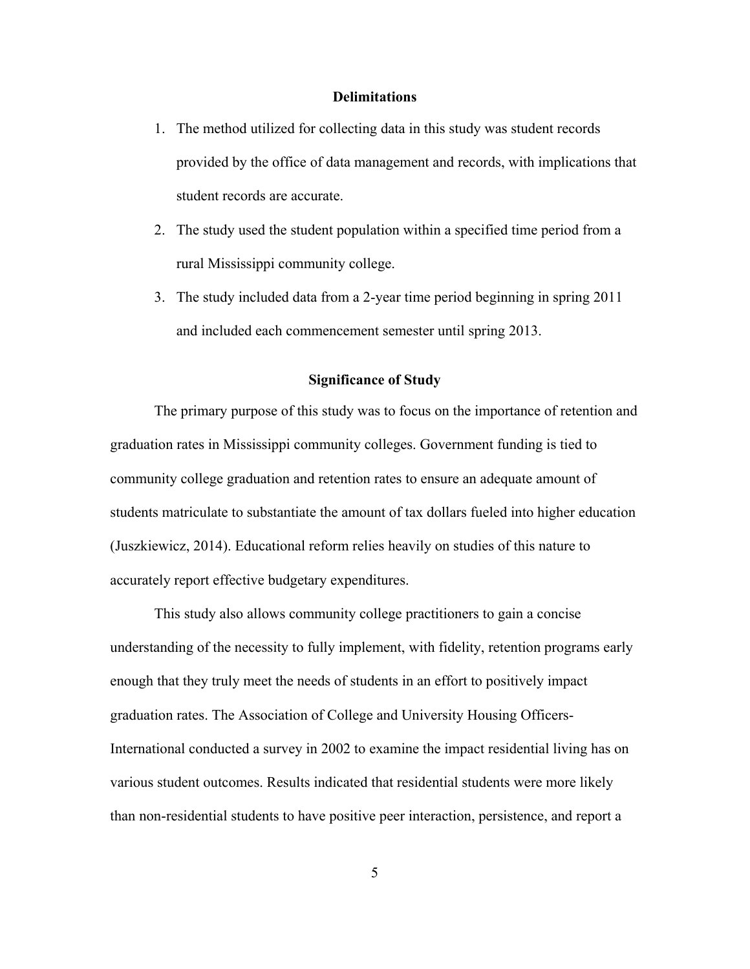#### **Delimitations**

- <span id="page-14-0"></span>1. The method utilized for collecting data in this study was student records provided by the office of data management and records, with implications that student records are accurate.
- 2. The study used the student population within a specified time period from a rural Mississippi community college.
- 3. The study included data from a 2-year time period beginning in spring 2011 and included each commencement semester until spring 2013.

## **Significance of Study**

<span id="page-14-1"></span>The primary purpose of this study was to focus on the importance of retention and graduation rates in Mississippi community colleges. Government funding is tied to community college graduation and retention rates to ensure an adequate amount of students matriculate to substantiate the amount of tax dollars fueled into higher education (Juszkiewicz, 2014). Educational reform relies heavily on studies of this nature to accurately report effective budgetary expenditures.

This study also allows community college practitioners to gain a concise understanding of the necessity to fully implement, with fidelity, retention programs early enough that they truly meet the needs of students in an effort to positively impact graduation rates. The Association of College and University Housing Officers-International conducted a survey in 2002 to examine the impact residential living has on various student outcomes. Results indicated that residential students were more likely than non-residential students to have positive peer interaction, persistence, and report a

5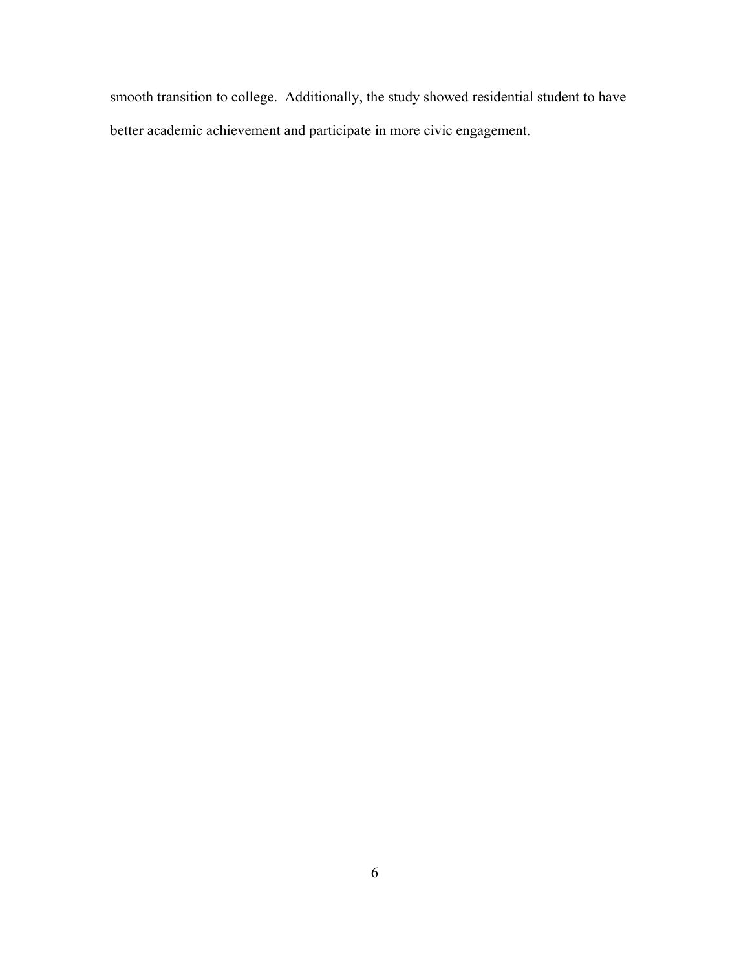smooth transition to college. Additionally, the study showed residential student to have better academic achievement and participate in more civic engagement.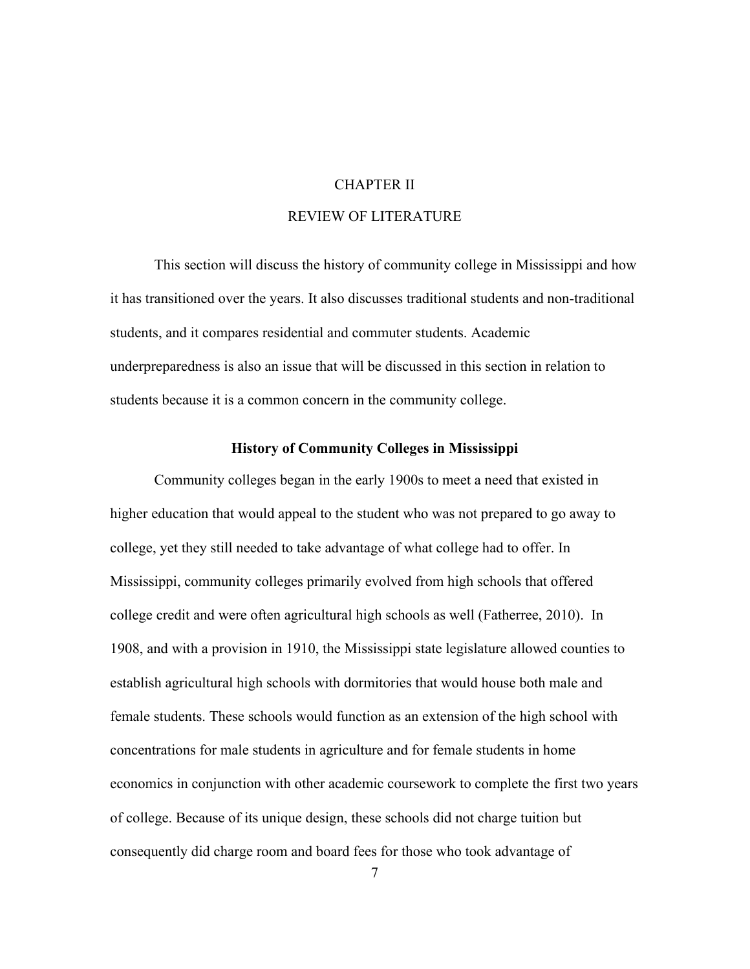# CHAPTER II REVIEW OF LITERATURE

<span id="page-16-0"></span>This section will discuss the history of community college in Mississippi and how it has transitioned over the years. It also discusses traditional students and non-traditional students, and it compares residential and commuter students. Academic underpreparedness is also an issue that will be discussed in this section in relation to students because it is a common concern in the community college.

### **History of Community Colleges in Mississippi**

<span id="page-16-1"></span>Community colleges began in the early 1900s to meet a need that existed in higher education that would appeal to the student who was not prepared to go away to college, yet they still needed to take advantage of what college had to offer. In Mississippi, community colleges primarily evolved from high schools that offered college credit and were often agricultural high schools as well (Fatherree, 2010). In 1908, and with a provision in 1910, the Mississippi state legislature allowed counties to establish agricultural high schools with dormitories that would house both male and female students. These schools would function as an extension of the high school with concentrations for male students in agriculture and for female students in home economics in conjunction with other academic coursework to complete the first two years of college. Because of its unique design, these schools did not charge tuition but consequently did charge room and board fees for those who took advantage of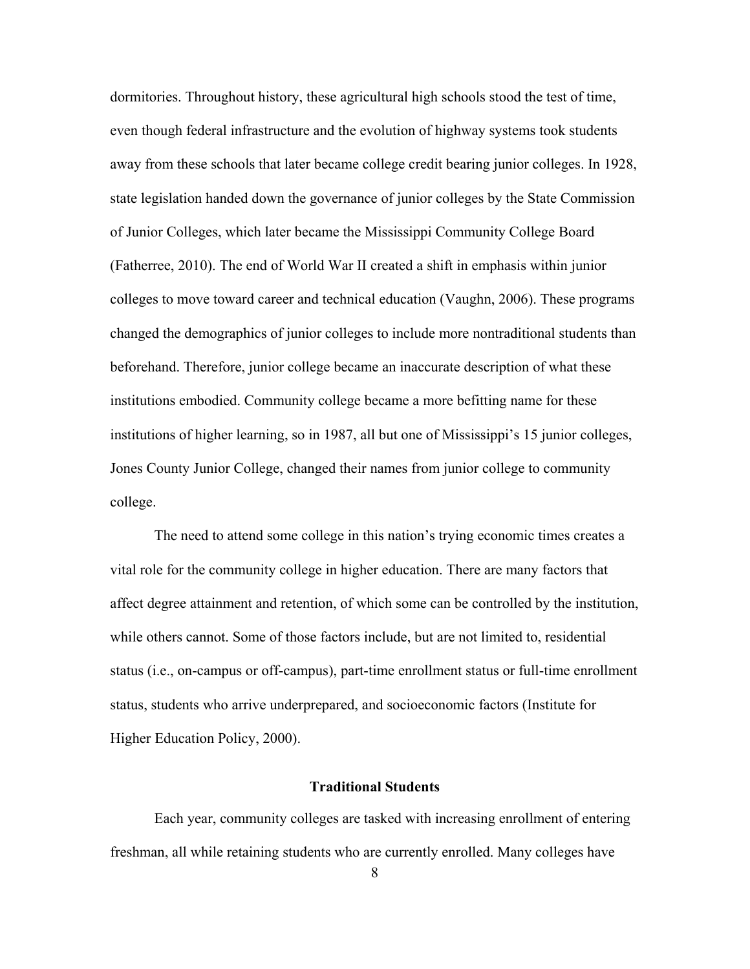dormitories. Throughout history, these agricultural high schools stood the test of time, even though federal infrastructure and the evolution of highway systems took students away from these schools that later became college credit bearing junior colleges. In 1928, state legislation handed down the governance of junior colleges by the State Commission of Junior Colleges, which later became the Mississippi Community College Board (Fatherree, 2010). The end of World War II created a shift in emphasis within junior colleges to move toward career and technical education (Vaughn, 2006). These programs changed the demographics of junior colleges to include more nontraditional students than beforehand. Therefore, junior college became an inaccurate description of what these institutions embodied. Community college became a more befitting name for these institutions of higher learning, so in 1987, all but one of Mississippi's 15 junior colleges, Jones County Junior College, changed their names from junior college to community college.

The need to attend some college in this nation's trying economic times creates a vital role for the community college in higher education. There are many factors that affect degree attainment and retention, of which some can be controlled by the institution, while others cannot. Some of those factors include, but are not limited to, residential status (i.e., on-campus or off-campus), part-time enrollment status or full-time enrollment status, students who arrive underprepared, and socioeconomic factors (Institute for Higher Education Policy, 2000).

## **Traditional Students**

<span id="page-17-0"></span>Each year, community colleges are tasked with increasing enrollment of entering freshman, all while retaining students who are currently enrolled. Many colleges have

8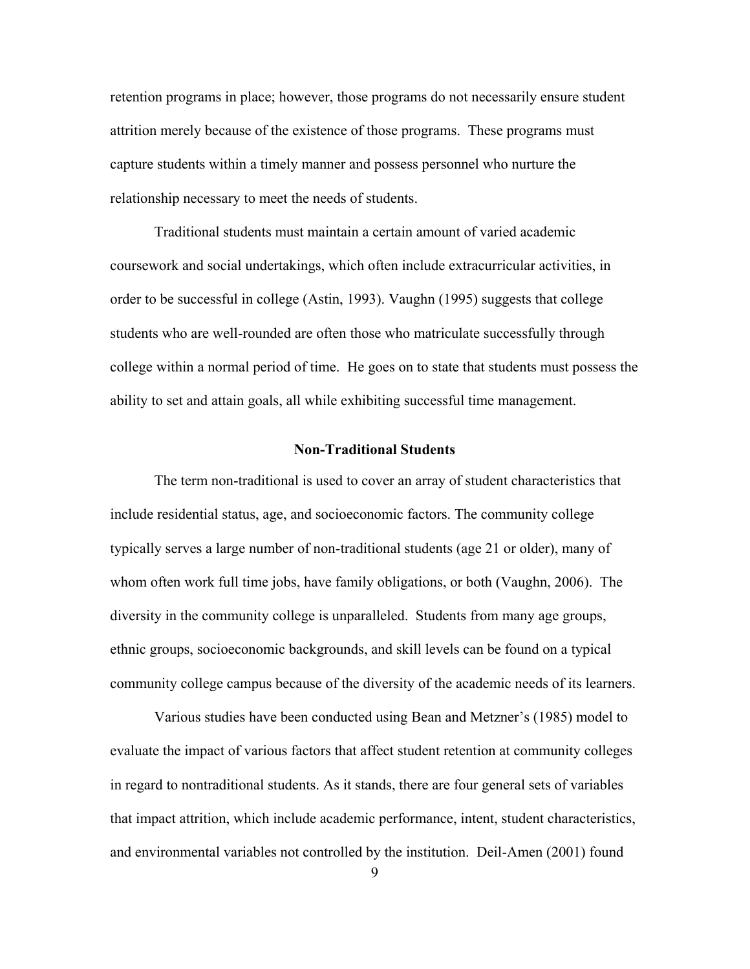retention programs in place; however, those programs do not necessarily ensure student attrition merely because of the existence of those programs. These programs must capture students within a timely manner and possess personnel who nurture the relationship necessary to meet the needs of students.

Traditional students must maintain a certain amount of varied academic coursework and social undertakings, which often include extracurricular activities, in order to be successful in college (Astin, 1993). Vaughn (1995) suggests that college students who are well-rounded are often those who matriculate successfully through college within a normal period of time. He goes on to state that students must possess the ability to set and attain goals, all while exhibiting successful time management.

#### **Non-Traditional Students**

<span id="page-18-0"></span>The term non-traditional is used to cover an array of student characteristics that include residential status, age, and socioeconomic factors. The community college typically serves a large number of non-traditional students (age 21 or older), many of whom often work full time jobs, have family obligations, or both (Vaughn, 2006). The diversity in the community college is unparalleled. Students from many age groups, ethnic groups, socioeconomic backgrounds, and skill levels can be found on a typical community college campus because of the diversity of the academic needs of its learners.

Various studies have been conducted using Bean and Metzner's (1985) model to evaluate the impact of various factors that affect student retention at community colleges in regard to nontraditional students. As it stands, there are four general sets of variables that impact attrition, which include academic performance, intent, student characteristics, and environmental variables not controlled by the institution. Deil-Amen (2001) found

9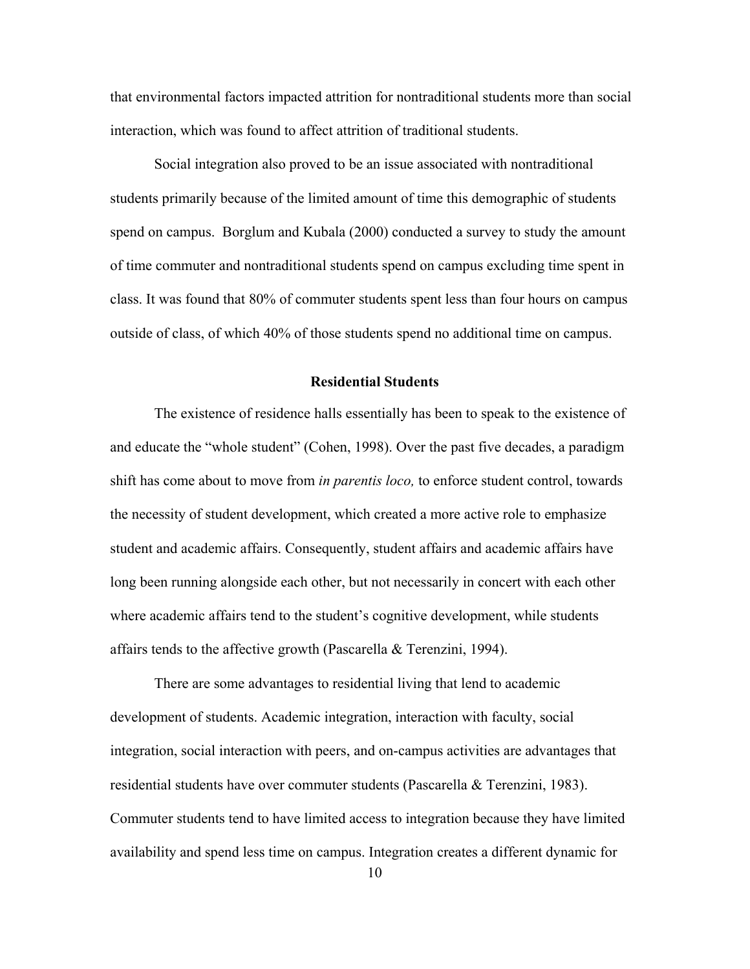that environmental factors impacted attrition for nontraditional students more than social interaction, which was found to affect attrition of traditional students.

Social integration also proved to be an issue associated with nontraditional students primarily because of the limited amount of time this demographic of students spend on campus. Borglum and Kubala (2000) conducted a survey to study the amount of time commuter and nontraditional students spend on campus excluding time spent in class. It was found that 80% of commuter students spent less than four hours on campus outside of class, of which 40% of those students spend no additional time on campus.

#### **Residential Students**

<span id="page-19-0"></span>The existence of residence halls essentially has been to speak to the existence of and educate the "whole student" (Cohen, 1998). Over the past five decades, a paradigm shift has come about to move from *in parentis loco,* to enforce student control, towards the necessity of student development, which created a more active role to emphasize student and academic affairs. Consequently, student affairs and academic affairs have long been running alongside each other, but not necessarily in concert with each other where academic affairs tend to the student's cognitive development, while students affairs tends to the affective growth (Pascarella & Terenzini, 1994).

There are some advantages to residential living that lend to academic development of students. Academic integration, interaction with faculty, social integration, social interaction with peers, and on-campus activities are advantages that residential students have over commuter students (Pascarella & Terenzini, 1983). Commuter students tend to have limited access to integration because they have limited availability and spend less time on campus. Integration creates a different dynamic for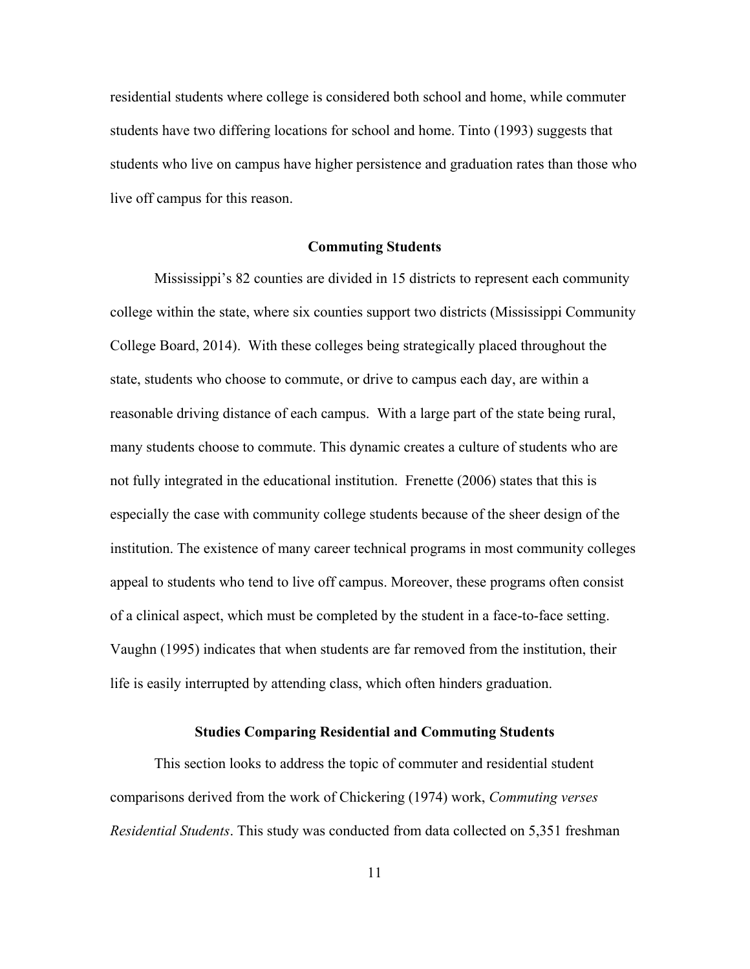residential students where college is considered both school and home, while commuter students have two differing locations for school and home. Tinto (1993) suggests that students who live on campus have higher persistence and graduation rates than those who live off campus for this reason.

#### **Commuting Students**

<span id="page-20-0"></span>Mississippi's 82 counties are divided in 15 districts to represent each community college within the state, where six counties support two districts (Mississippi Community College Board, 2014). With these colleges being strategically placed throughout the state, students who choose to commute, or drive to campus each day, are within a reasonable driving distance of each campus. With a large part of the state being rural, many students choose to commute. This dynamic creates a culture of students who are not fully integrated in the educational institution. Frenette (2006) states that this is especially the case with community college students because of the sheer design of the institution. The existence of many career technical programs in most community colleges appeal to students who tend to live off campus. Moreover, these programs often consist of a clinical aspect, which must be completed by the student in a face-to-face setting. Vaughn (1995) indicates that when students are far removed from the institution, their life is easily interrupted by attending class, which often hinders graduation.

#### **Studies Comparing Residential and Commuting Students**

<span id="page-20-1"></span>This section looks to address the topic of commuter and residential student comparisons derived from the work of Chickering (1974) work, *Commuting verses Residential Students*. This study was conducted from data collected on 5,351 freshman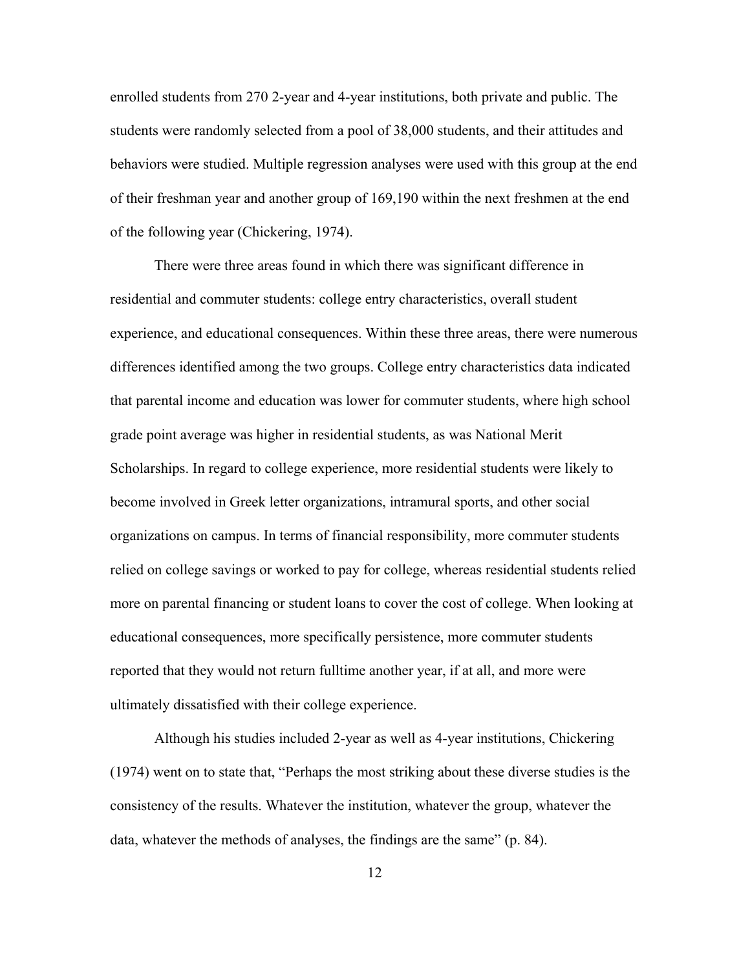enrolled students from 270 2-year and 4-year institutions, both private and public. The students were randomly selected from a pool of 38,000 students, and their attitudes and behaviors were studied. Multiple regression analyses were used with this group at the end of their freshman year and another group of 169,190 within the next freshmen at the end of the following year (Chickering, 1974).

 more on parental financing or student loans to cover the cost of college. When looking at There were three areas found in which there was significant difference in residential and commuter students: college entry characteristics, overall student experience, and educational consequences. Within these three areas, there were numerous differences identified among the two groups. College entry characteristics data indicated that parental income and education was lower for commuter students, where high school grade point average was higher in residential students, as was National Merit Scholarships. In regard to college experience, more residential students were likely to become involved in Greek letter organizations, intramural sports, and other social organizations on campus. In terms of financial responsibility, more commuter students relied on college savings or worked to pay for college, whereas residential students relied educational consequences, more specifically persistence, more commuter students reported that they would not return fulltime another year, if at all, and more were ultimately dissatisfied with their college experience.

Although his studies included 2-year as well as 4-year institutions, Chickering (1974) went on to state that, "Perhaps the most striking about these diverse studies is the consistency of the results. Whatever the institution, whatever the group, whatever the data, whatever the methods of analyses, the findings are the same" (p. 84).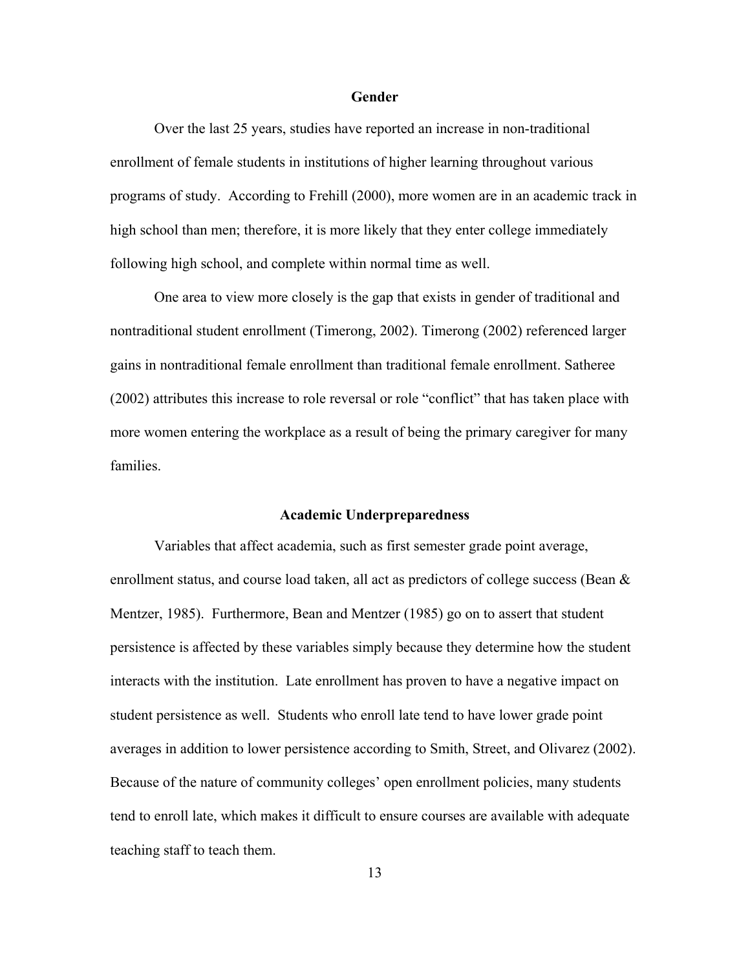#### **Gender**

<span id="page-22-0"></span> Over the last 25 years, studies have reported an increase in non-traditional enrollment of female students in institutions of higher learning throughout various programs of study. According to Frehill (2000), more women are in an academic track in high school than men; therefore, it is more likely that they enter college immediately following high school, and complete within normal time as well.

 nontraditional student enrollment (Timerong, 2002). Timerong (2002) referenced larger One area to view more closely is the gap that exists in gender of traditional and gains in nontraditional female enrollment than traditional female enrollment. Satheree (2002) attributes this increase to role reversal or role "conflict" that has taken place with more women entering the workplace as a result of being the primary caregiver for many families.

#### **Academic Underpreparedness**

<span id="page-22-1"></span>Variables that affect academia, such as first semester grade point average, enrollment status, and course load taken, all act as predictors of college success (Bean & Mentzer, 1985). Furthermore, Bean and Mentzer (1985) go on to assert that student persistence is affected by these variables simply because they determine how the student interacts with the institution. Late enrollment has proven to have a negative impact on student persistence as well. Students who enroll late tend to have lower grade point averages in addition to lower persistence according to Smith, Street, and Olivarez (2002). Because of the nature of community colleges' open enrollment policies, many students tend to enroll late, which makes it difficult to ensure courses are available with adequate teaching staff to teach them.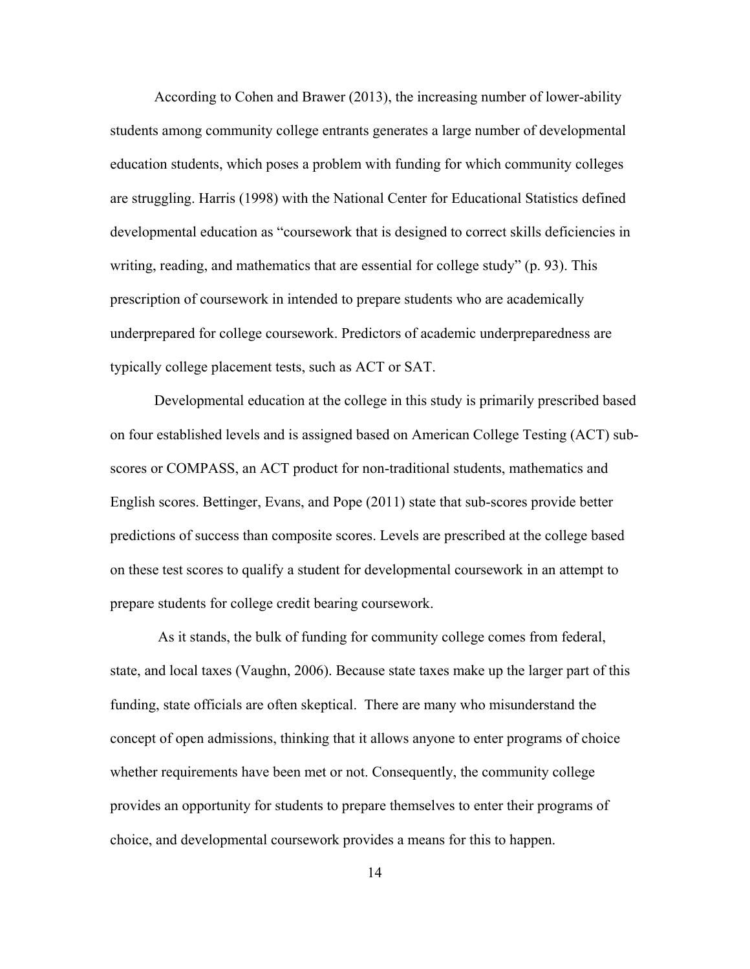According to Cohen and Brawer (2013), the increasing number of lower-ability students among community college entrants generates a large number of developmental education students, which poses a problem with funding for which community colleges are struggling. Harris (1998) with the National Center for Educational Statistics defined developmental education as "coursework that is designed to correct skills deficiencies in writing, reading, and mathematics that are essential for college study" (p. 93). This prescription of coursework in intended to prepare students who are academically underprepared for college coursework. Predictors of academic underpreparedness are typically college placement tests, such as ACT or SAT.

Developmental education at the college in this study is primarily prescribed based on four established levels and is assigned based on American College Testing (ACT) subscores or COMPASS, an ACT product for non-traditional students, mathematics and English scores. Bettinger, Evans, and Pope (2011) state that sub-scores provide better predictions of success than composite scores. Levels are prescribed at the college based on these test scores to qualify a student for developmental coursework in an attempt to prepare students for college credit bearing coursework.

As it stands, the bulk of funding for community college comes from federal, state, and local taxes (Vaughn, 2006). Because state taxes make up the larger part of this funding, state officials are often skeptical. There are many who misunderstand the concept of open admissions, thinking that it allows anyone to enter programs of choice whether requirements have been met or not. Consequently, the community college provides an opportunity for students to prepare themselves to enter their programs of choice, and developmental coursework provides a means for this to happen.

14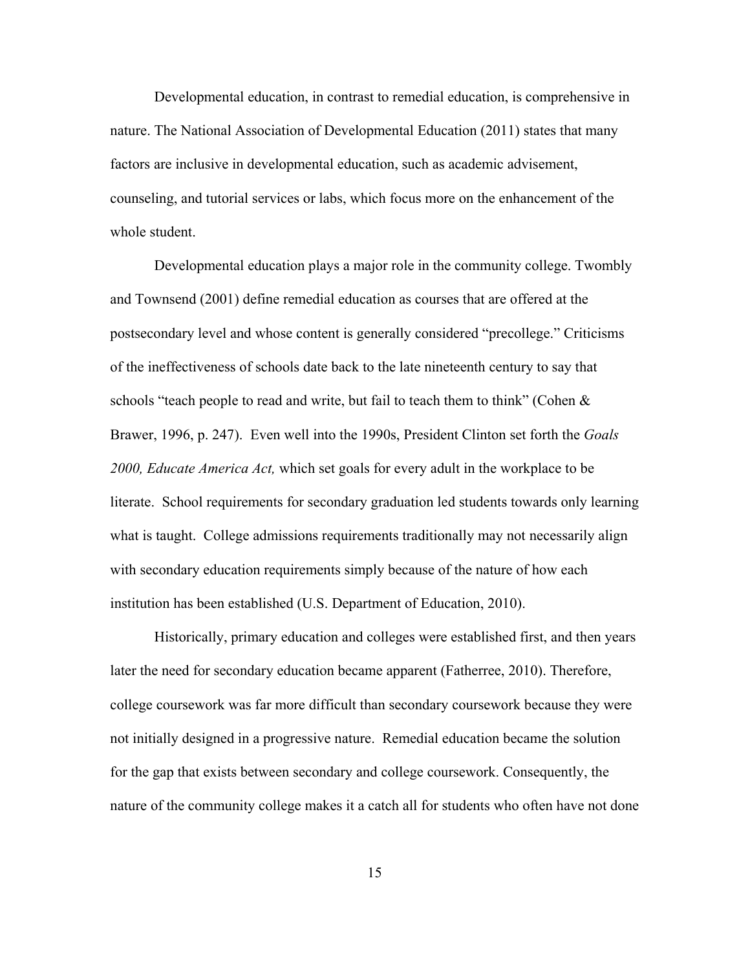Developmental education, in contrast to remedial education, is comprehensive in nature. The National Association of Developmental Education (2011) states that many factors are inclusive in developmental education, such as academic advisement, counseling, and tutorial services or labs, which focus more on the enhancement of the whole student.

Developmental education plays a major role in the community college. Twombly and Townsend (2001) define remedial education as courses that are offered at the postsecondary level and whose content is generally considered "precollege." Criticisms of the ineffectiveness of schools date back to the late nineteenth century to say that schools "teach people to read and write, but fail to teach them to think" (Cohen & Brawer, 1996, p. 247). Even well into the 1990s, President Clinton set forth the *Goals 2000, Educate America Act,* which set goals for every adult in the workplace to be literate. School requirements for secondary graduation led students towards only learning what is taught. College admissions requirements traditionally may not necessarily align with secondary education requirements simply because of the nature of how each institution has been established (U.S. Department of Education, 2010).

Historically, primary education and colleges were established first, and then years later the need for secondary education became apparent (Fatherree, 2010). Therefore, college coursework was far more difficult than secondary coursework because they were not initially designed in a progressive nature. Remedial education became the solution for the gap that exists between secondary and college coursework. Consequently, the nature of the community college makes it a catch all for students who often have not done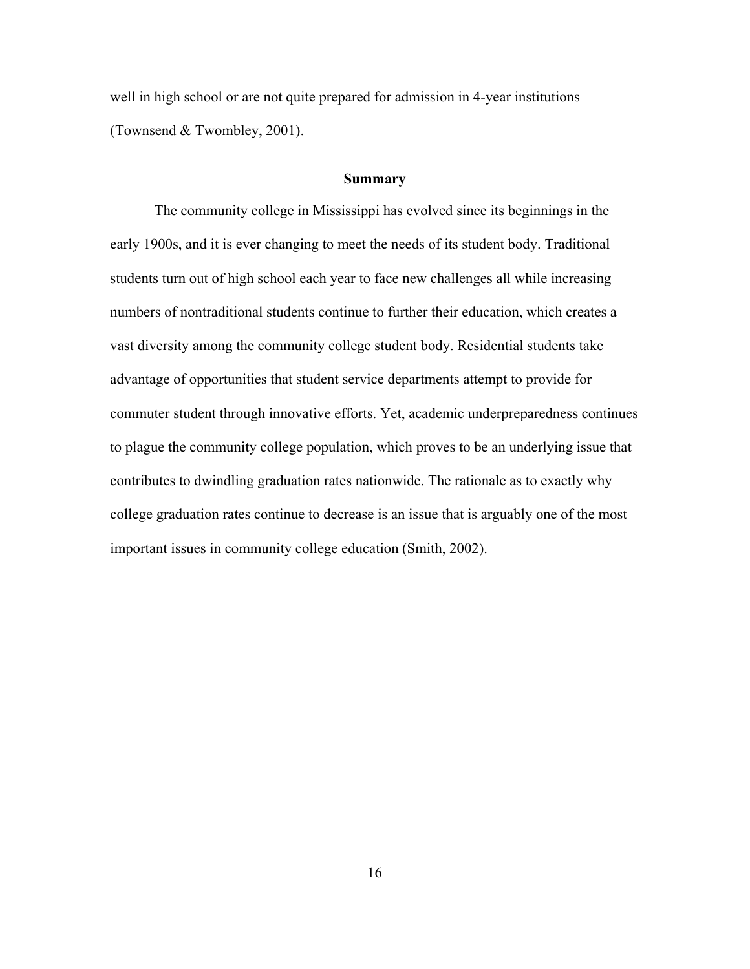well in high school or are not quite prepared for admission in 4-year institutions (Townsend & Twombley, 2001).

#### **Summary**

<span id="page-25-0"></span>The community college in Mississippi has evolved since its beginnings in the early 1900s, and it is ever changing to meet the needs of its student body. Traditional students turn out of high school each year to face new challenges all while increasing numbers of nontraditional students continue to further their education, which creates a vast diversity among the community college student body. Residential students take advantage of opportunities that student service departments attempt to provide for commuter student through innovative efforts. Yet, academic underpreparedness continues to plague the community college population, which proves to be an underlying issue that contributes to dwindling graduation rates nationwide. The rationale as to exactly why college graduation rates continue to decrease is an issue that is arguably one of the most important issues in community college education (Smith, 2002).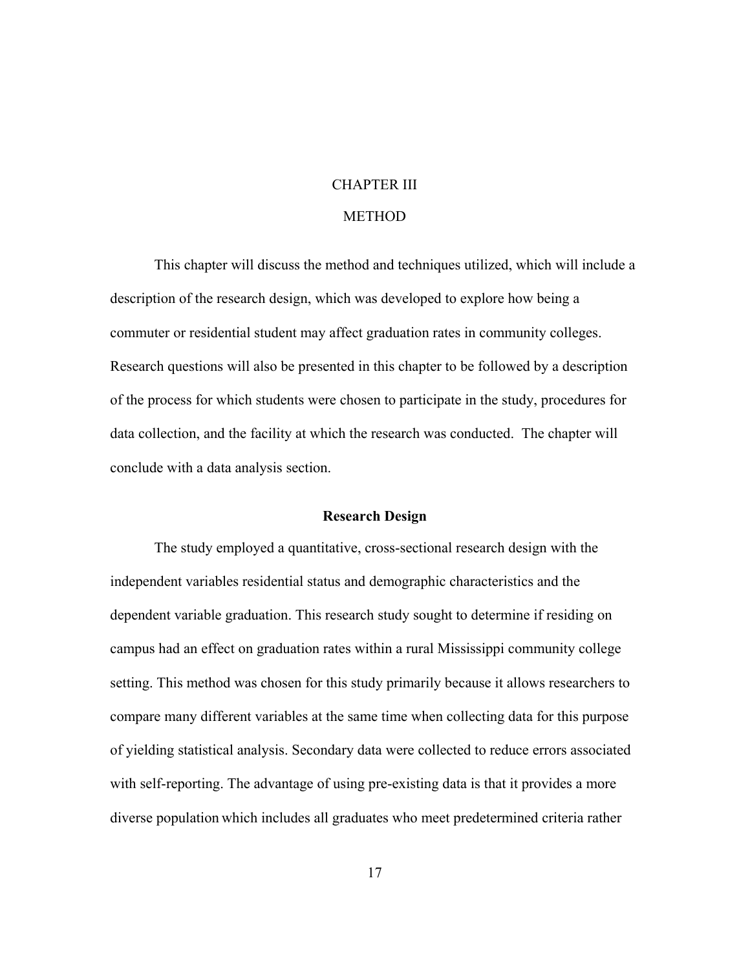# CHAPTER III METHOD

<span id="page-26-0"></span>This chapter will discuss the method and techniques utilized, which will include a description of the research design, which was developed to explore how being a commuter or residential student may affect graduation rates in community colleges. Research questions will also be presented in this chapter to be followed by a description of the process for which students were chosen to participate in the study, procedures for data collection, and the facility at which the research was conducted. The chapter will conclude with a data analysis section.

#### **Research Design**

<span id="page-26-1"></span> diverse population which includes all graduates who meet predetermined criteria rather The study employed a quantitative, cross-sectional research design with the independent variables residential status and demographic characteristics and the dependent variable graduation. This research study sought to determine if residing on campus had an effect on graduation rates within a rural Mississippi community college setting. This method was chosen for this study primarily because it allows researchers to compare many different variables at the same time when collecting data for this purpose of yielding statistical analysis. Secondary data were collected to reduce errors associated with self-reporting. The advantage of using pre-existing data is that it provides a more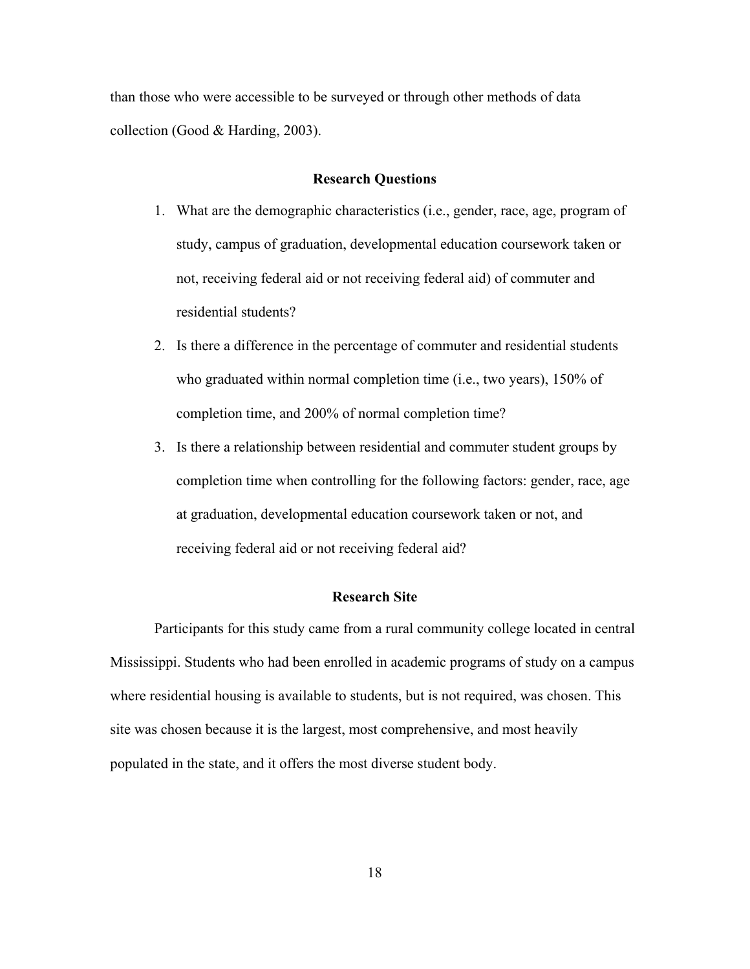<span id="page-27-0"></span>than those who were accessible to be surveyed or through other methods of data collection (Good & Harding, 2003).

#### **Research Questions**

- 1. What are the demographic characteristics (i.e., gender, race, age, program of study, campus of graduation, developmental education coursework taken or not, receiving federal aid or not receiving federal aid) of commuter and residential students?
- completion time, and 200% of normal completion time? 2. Is there a difference in the percentage of commuter and residential students who graduated within normal completion time (i.e., two years), 150% of
- receiving federal aid or not receiving federal aid? 3. Is there a relationship between residential and commuter student groups by completion time when controlling for the following factors: gender, race, age at graduation, developmental education coursework taken or not, and

## **Research Site**

<span id="page-27-1"></span>Participants for this study came from a rural community college located in central Mississippi. Students who had been enrolled in academic programs of study on a campus where residential housing is available to students, but is not required, was chosen. This site was chosen because it is the largest, most comprehensive, and most heavily populated in the state, and it offers the most diverse student body.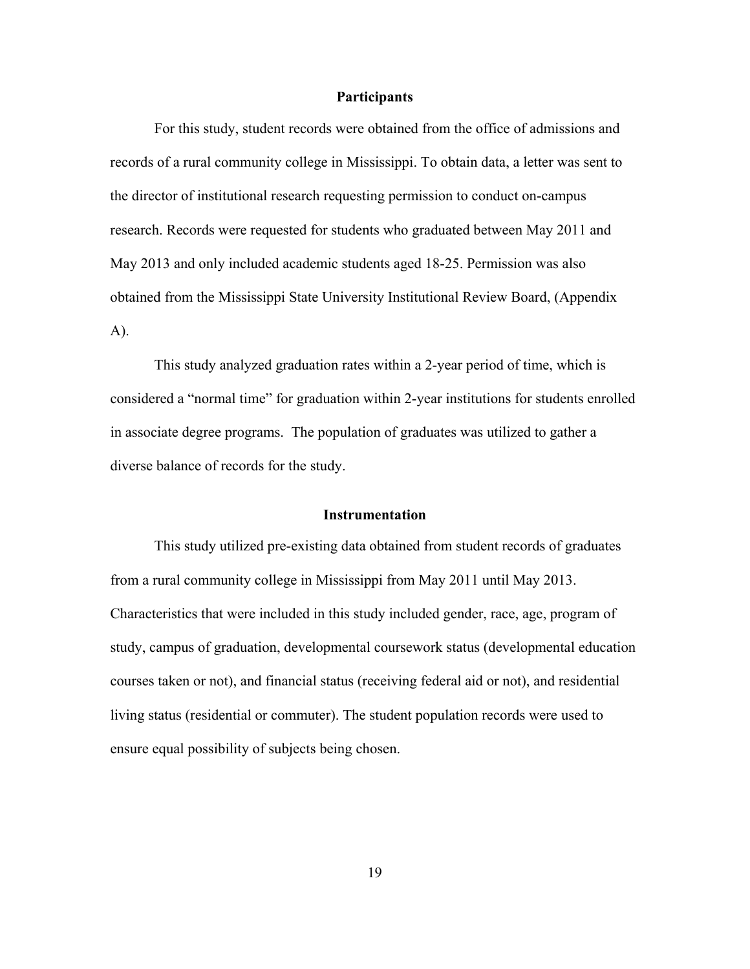#### **Participants**

<span id="page-28-0"></span>For this study, student records were obtained from the office of admissions and records of a rural community college in Mississippi. To obtain data, a letter was sent to the director of institutional research requesting permission to conduct on-campus research. Records were requested for students who graduated between May 2011 and May 2013 and only included academic students aged 18-25. Permission was also obtained from the Mississippi State University Institutional Review Board, (Appendix A).

This study analyzed graduation rates within a 2-year period of time, which is considered a "normal time" for graduation within 2-year institutions for students enrolled in associate degree programs. The population of graduates was utilized to gather a diverse balance of records for the study.

#### **Instrumentation**

<span id="page-28-1"></span>This study utilized pre-existing data obtained from student records of graduates from a rural community college in Mississippi from May 2011 until May 2013. Characteristics that were included in this study included gender, race, age, program of study, campus of graduation, developmental coursework status (developmental education courses taken or not), and financial status (receiving federal aid or not), and residential living status (residential or commuter). The student population records were used to ensure equal possibility of subjects being chosen.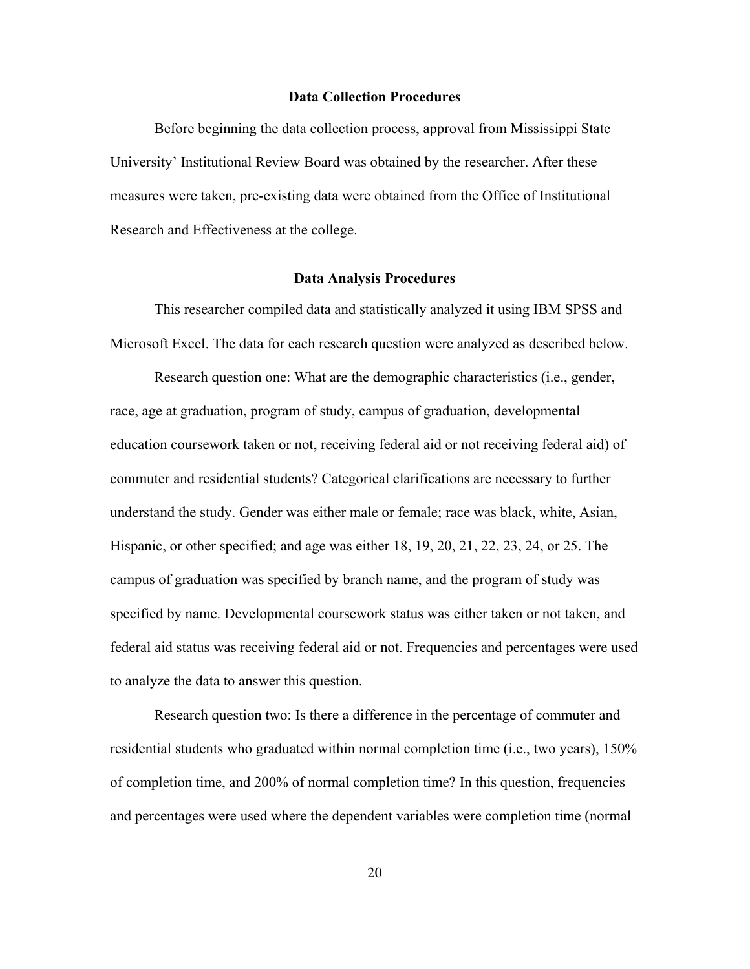#### **Data Collection Procedures**

<span id="page-29-0"></span>Before beginning the data collection process, approval from Mississippi State University' Institutional Review Board was obtained by the researcher. After these measures were taken, pre-existing data were obtained from the Office of Institutional Research and Effectiveness at the college.

#### **Data Analysis Procedures**

<span id="page-29-1"></span>This researcher compiled data and statistically analyzed it using IBM SPSS and Microsoft Excel. The data for each research question were analyzed as described below.

Research question one: What are the demographic characteristics (i.e., gender, race, age at graduation, program of study, campus of graduation, developmental education coursework taken or not, receiving federal aid or not receiving federal aid) of commuter and residential students? Categorical clarifications are necessary to further understand the study. Gender was either male or female; race was black, white, Asian, Hispanic, or other specified; and age was either 18, 19, 20, 21, 22, 23, 24, or 25. The campus of graduation was specified by branch name, and the program of study was specified by name. Developmental coursework status was either taken or not taken, and federal aid status was receiving federal aid or not. Frequencies and percentages were used to analyze the data to answer this question.

Research question two: Is there a difference in the percentage of commuter and residential students who graduated within normal completion time (i.e., two years), 150% of completion time, and 200% of normal completion time? In this question, frequencies and percentages were used where the dependent variables were completion time (normal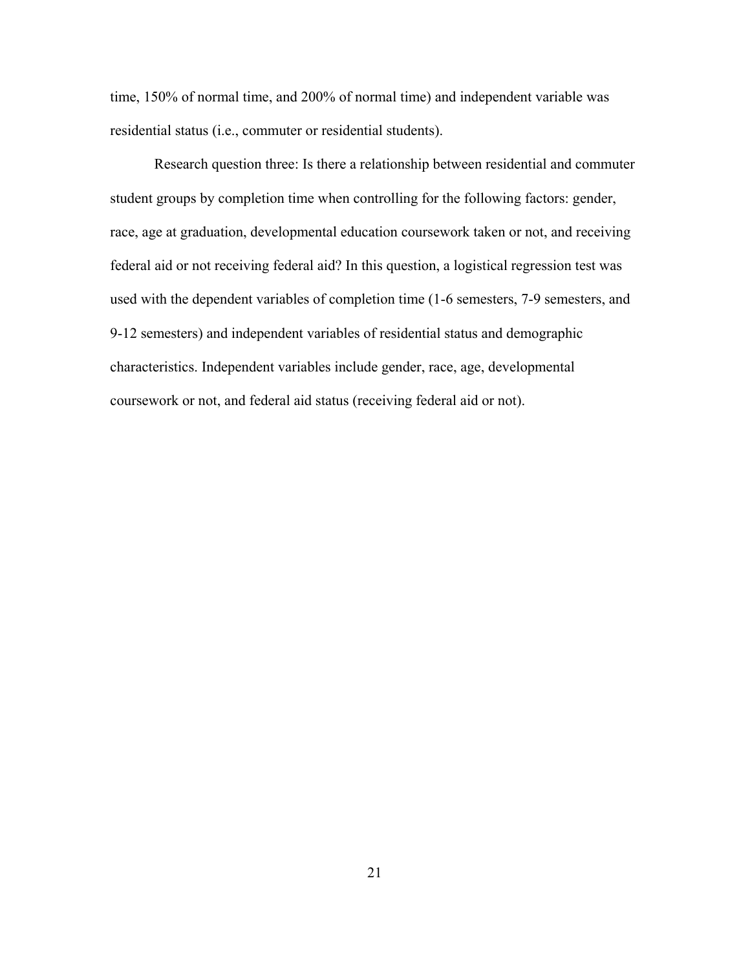time, 150% of normal time, and 200% of normal time) and independent variable was residential status (i.e., commuter or residential students).

Research question three: Is there a relationship between residential and commuter student groups by completion time when controlling for the following factors: gender, race, age at graduation, developmental education coursework taken or not, and receiving federal aid or not receiving federal aid? In this question, a logistical regression test was used with the dependent variables of completion time (1-6 semesters, 7-9 semesters, and 9-12 semesters) and independent variables of residential status and demographic characteristics. Independent variables include gender, race, age, developmental coursework or not, and federal aid status (receiving federal aid or not).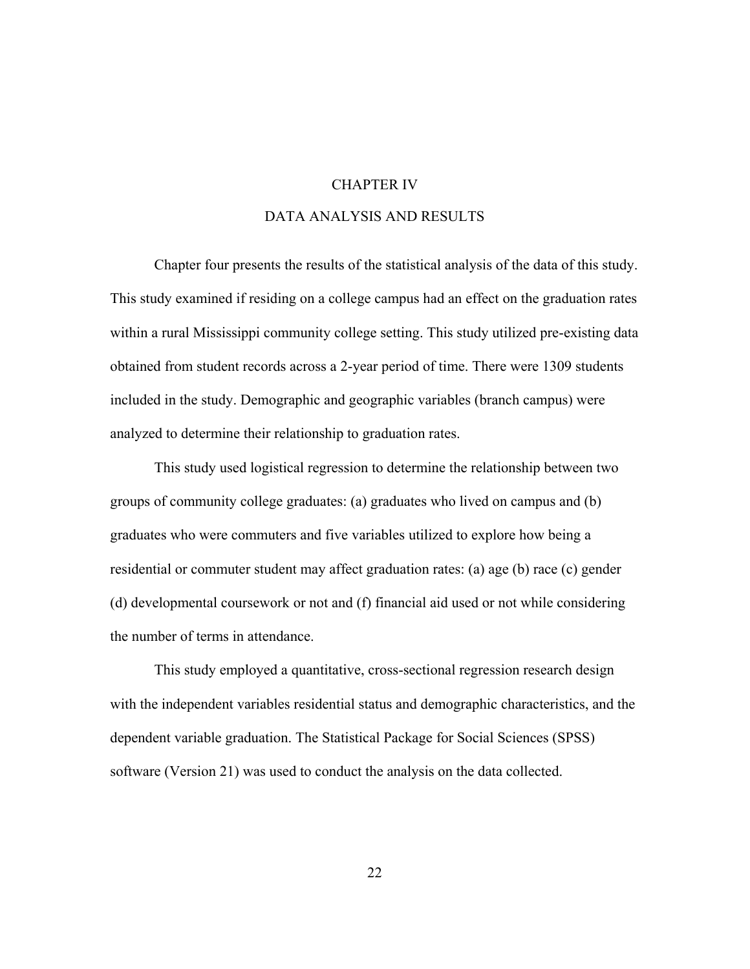#### CHAPTER IV

## DATA ANALYSIS AND RESULTS

<span id="page-31-0"></span>Chapter four presents the results of the statistical analysis of the data of this study. This study examined if residing on a college campus had an effect on the graduation rates within a rural Mississippi community college setting. This study utilized pre-existing data obtained from student records across a 2-year period of time. There were 1309 students included in the study. Demographic and geographic variables (branch campus) were analyzed to determine their relationship to graduation rates.

This study used logistical regression to determine the relationship between two groups of community college graduates: (a) graduates who lived on campus and (b) graduates who were commuters and five variables utilized to explore how being a residential or commuter student may affect graduation rates: (a) age (b) race (c) gender (d) developmental coursework or not and (f) financial aid used or not while considering the number of terms in attendance.

This study employed a quantitative, cross-sectional regression research design with the independent variables residential status and demographic characteristics, and the dependent variable graduation. The Statistical Package for Social Sciences (SPSS) software (Version 21) was used to conduct the analysis on the data collected.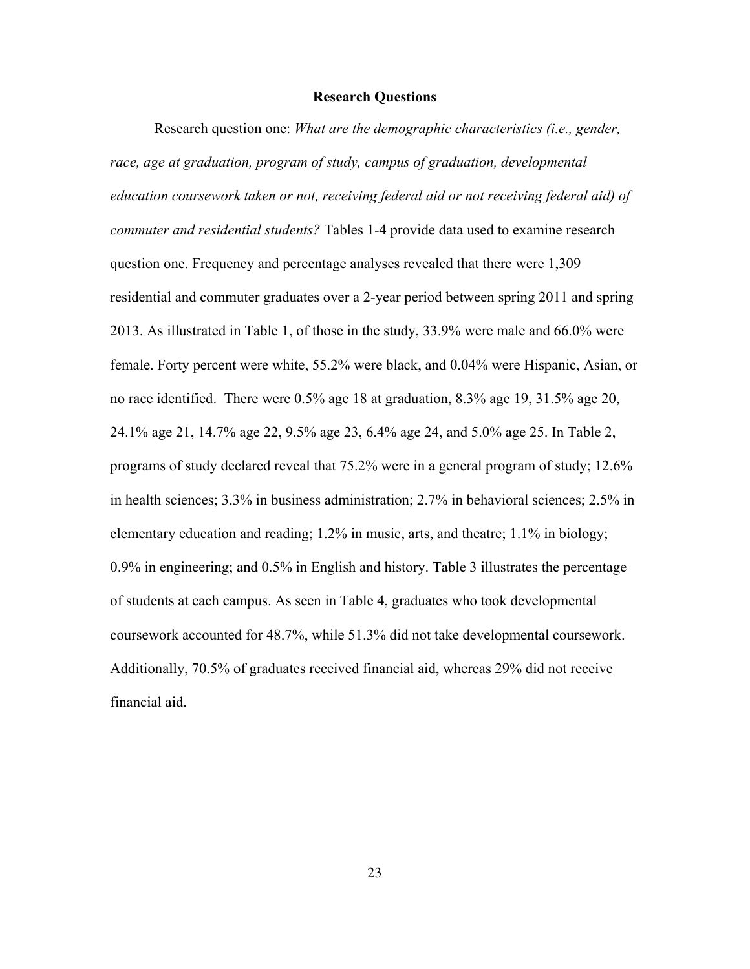#### **Research Questions**

<span id="page-32-0"></span>Research question one: *What are the demographic characteristics (i.e., gender, race, age at graduation, program of study, campus of graduation, developmental education coursework taken or not, receiving federal aid or not receiving federal aid) of commuter and residential students?* Tables 1-4 provide data used to examine research question one. Frequency and percentage analyses revealed that there were 1,309 residential and commuter graduates over a 2-year period between spring 2011 and spring 2013. As illustrated in Table 1, of those in the study, 33.9% were male and 66.0% were female. Forty percent were white, 55.2% were black, and 0.04% were Hispanic, Asian, or no race identified. There were 0.5% age 18 at graduation, 8.3% age 19, 31.5% age 20, 24.1% age 21, 14.7% age 22, 9.5% age 23, 6.4% age 24, and 5.0% age 25. In Table 2, programs of study declared reveal that 75.2% were in a general program of study; 12.6% in health sciences; 3.3% in business administration; 2.7% in behavioral sciences; 2.5% in elementary education and reading; 1.2% in music, arts, and theatre; 1.1% in biology; 0.9% in engineering; and 0.5% in English and history. Table 3 illustrates the percentage of students at each campus. As seen in Table 4, graduates who took developmental coursework accounted for 48.7%, while 51.3% did not take developmental coursework. Additionally, 70.5% of graduates received financial aid, whereas 29% did not receive financial aid.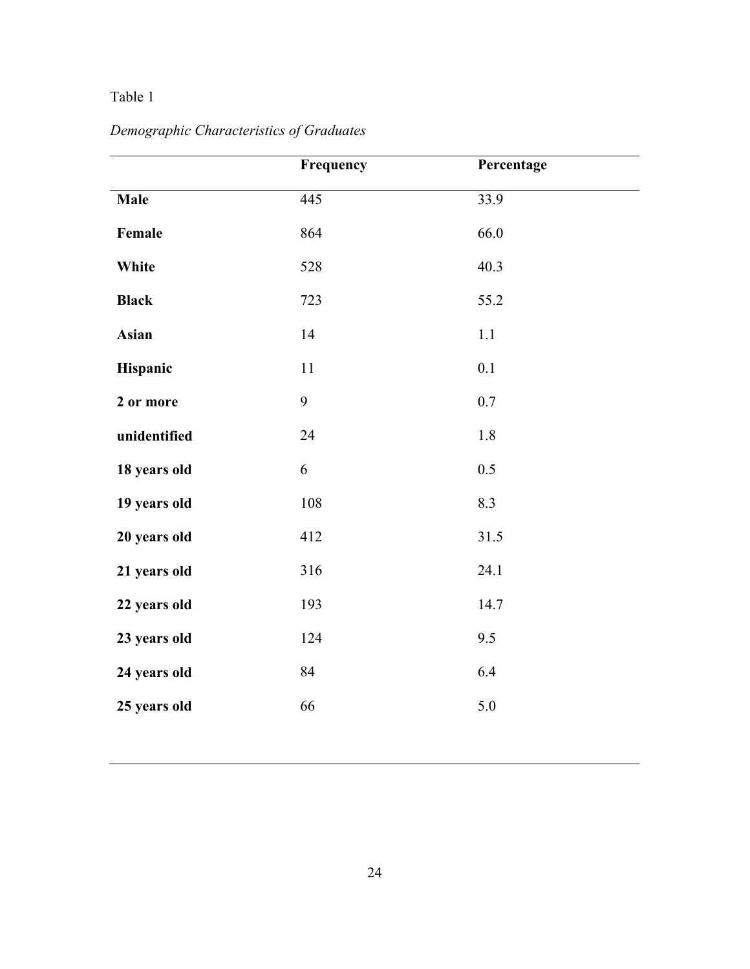|              | Frequency | Percentage |
|--------------|-----------|------------|
| <b>Male</b>  | 445       | 33.9       |
| Female       | 864       | 66.0       |
| White        | 528       | 40.3       |
| <b>Black</b> | 723       | 55.2       |
| <b>Asian</b> | 14        | 1.1        |
| Hispanic     | 11        | 0.1        |
| 2 or more    | 9         | 0.7        |
| unidentified | 24        | 1.8        |
| 18 years old | 6         | 0.5        |
| 19 years old | 108       | 8.3        |
| 20 years old | 412       | 31.5       |
| 21 years old | 316       | 24.1       |
| 22 years old | 193       | 14.7       |
| 23 years old | 124       | 9.5        |
| 24 years old | 84        | 6.4        |
| 25 years old | 66        | 5.0        |
|              |           |            |

# <span id="page-33-0"></span>*Demographic Characteristics of Graduates*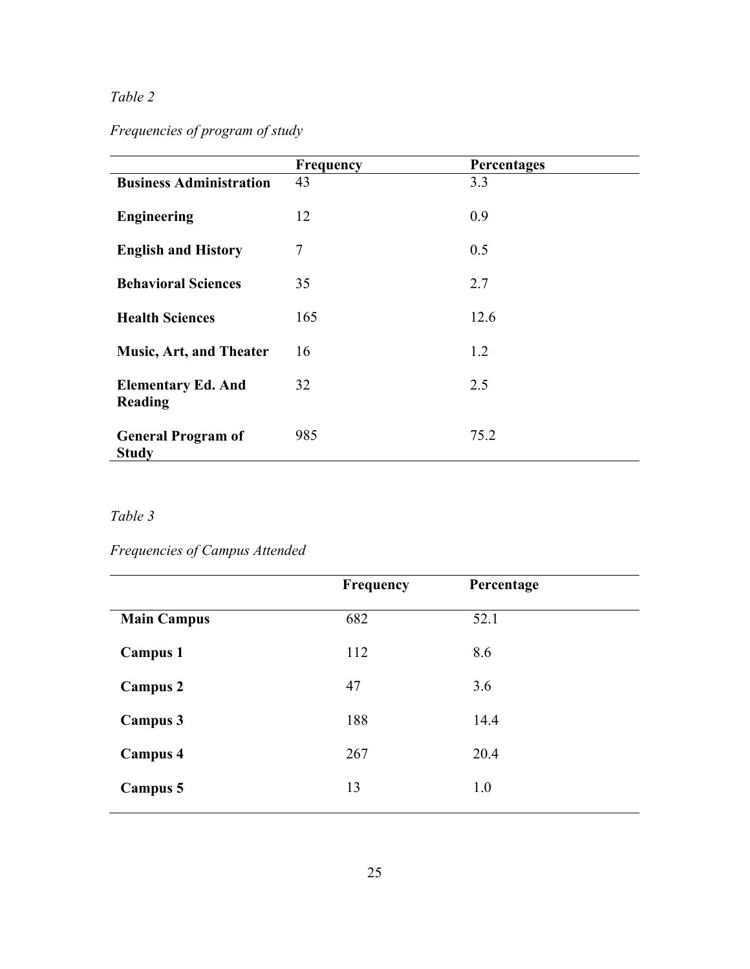# <span id="page-34-0"></span>*Frequencies of program of study*

|                                           | <b>Frequency</b> | Percentages |
|-------------------------------------------|------------------|-------------|
| <b>Business Administration</b>            | 43               | 3.3         |
| <b>Engineering</b>                        | 12               | 0.9         |
| <b>English and History</b>                | 7                | 0.5         |
| <b>Behavioral Sciences</b>                | 35               | 2.7         |
| <b>Health Sciences</b>                    | 165              | 12.6        |
| <b>Music, Art, and Theater</b>            | 16               | 1.2         |
| <b>Elementary Ed. And</b><br>Reading      | 32               | 2.5         |
| <b>General Program of</b><br><b>Study</b> | 985              | 75.2        |

#### <span id="page-34-1"></span> *Table 3*

# *Frequencies of Campus Attended*

|                    | Frequency | Percentage |  |
|--------------------|-----------|------------|--|
| <b>Main Campus</b> | 682       | 52.1       |  |
| <b>Campus 1</b>    | 112       | 8.6        |  |
| <b>Campus 2</b>    | 47        | 3.6        |  |
| <b>Campus 3</b>    | 188       | 14.4       |  |
| <b>Campus 4</b>    | 267       | 20.4       |  |
| Campus 5           | 13        | 1.0        |  |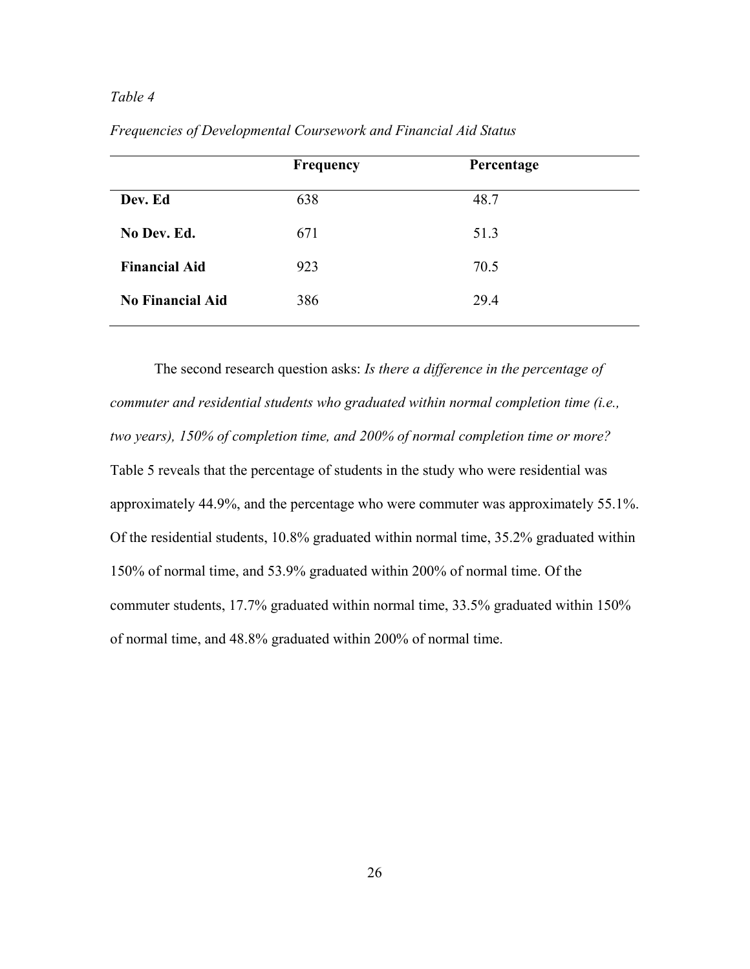|                         | <b>Frequency</b> | Percentage |  |
|-------------------------|------------------|------------|--|
| Dev. Ed                 | 638              | 48.7       |  |
| No Dev. Ed.             | 671              | 51.3       |  |
| <b>Financial Aid</b>    | 923              | 70.5       |  |
| <b>No Financial Aid</b> | 386              | 29.4       |  |
|                         |                  |            |  |

<span id="page-35-0"></span>*Frequencies of Developmental Coursework and Financial Aid Status*

The second research question asks: *Is there a difference in the percentage of commuter and residential students who graduated within normal completion time (i.e., two years), 150% of completion time, and 200% of normal completion time or more?* Table 5 reveals that the percentage of students in the study who were residential was approximately 44.9%, and the percentage who were commuter was approximately 55.1%. Of the residential students, 10.8% graduated within normal time, 35.2% graduated within 150% of normal time, and 53.9% graduated within 200% of normal time. Of the commuter students, 17.7% graduated within normal time, 33.5% graduated within 150% of normal time, and 48.8% graduated within 200% of normal time.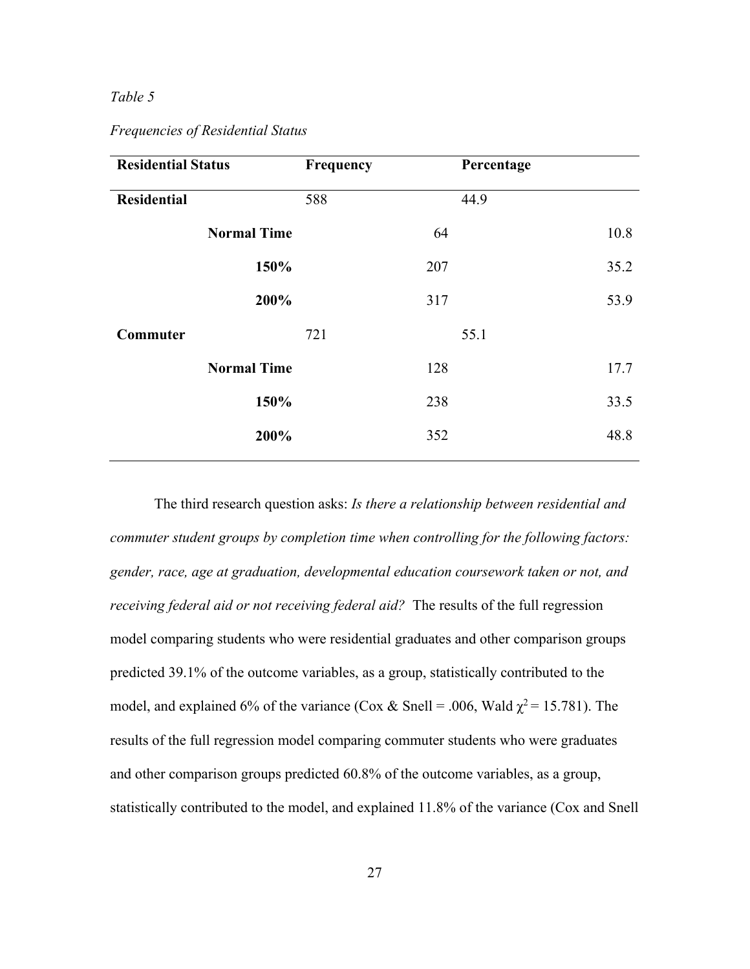<span id="page-36-0"></span>

| <b>Frequencies of Residential Status</b> |  |
|------------------------------------------|--|

| <b>Residential Status</b> | Frequency | Percentage |      |
|---------------------------|-----------|------------|------|
| <b>Residential</b>        | 588       | 44.9       |      |
| <b>Normal Time</b>        | 64        | 10.8       |      |
| 150%                      | 207       | 35.2       |      |
| 200%                      | 317       | 53.9       |      |
| <b>Commuter</b>           | 721       | 55.1       |      |
| <b>Normal Time</b>        | 128       |            | 17.7 |
| 150%                      | 238       | 33.5       |      |
| 200%                      | 352       | 48.8       |      |
|                           |           |            |      |

 *receiving federal aid or not receiving federal aid?* The results of the full regression The third research question asks: *Is there a relationship between residential and commuter student groups by completion time when controlling for the following factors: gender, race, age at graduation, developmental education coursework taken or not, and*  model comparing students who were residential graduates and other comparison groups predicted 39.1% of the outcome variables, as a group, statistically contributed to the model, and explained 6% of the variance (Cox & Snell = .006, Wald  $\chi^2$  = 15.781). The results of the full regression model comparing commuter students who were graduates and other comparison groups predicted 60.8% of the outcome variables, as a group, statistically contributed to the model, and explained 11.8% of the variance (Cox and Snell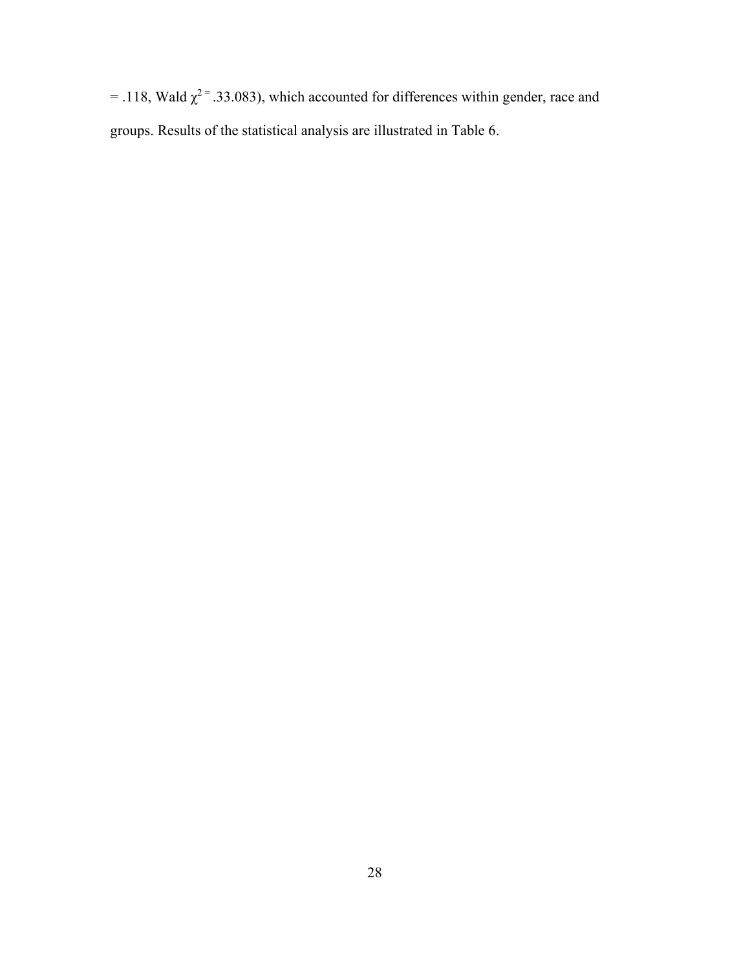= .118, Wald  $\chi^2$ <sup>=</sup> .33.083), which accounted for differences within gender, race and groups. Results of the statistical analysis are illustrated in Table 6.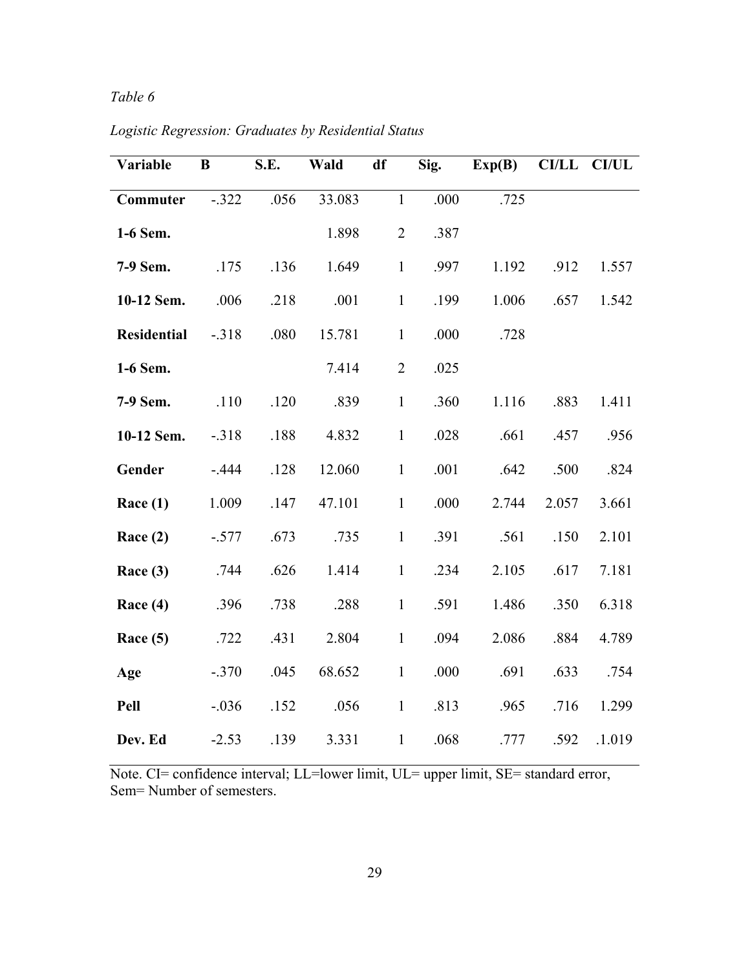| Variable           | B        | S.E. | Wald   | df             | Sig. | Exp(B) |       | CI/LL CI/UL |
|--------------------|----------|------|--------|----------------|------|--------|-------|-------------|
| <b>Commuter</b>    | $-322$   | .056 | 33.083 | $\mathbf{1}$   | .000 | .725   |       |             |
| 1-6 Sem.           |          |      | 1.898  | $\overline{2}$ | .387 |        |       |             |
| 7-9 Sem.           | .175     | .136 | 1.649  | $\mathbf{1}$   | .997 | 1.192  | .912  | 1.557       |
| 10-12 Sem.         | .006     | .218 | .001   | $\mathbf{1}$   | .199 | 1.006  | .657  | 1.542       |
| <b>Residential</b> | $-318$   | .080 | 15.781 | $\mathbf{1}$   | .000 | .728   |       |             |
| 1-6 Sem.           |          |      | 7.414  | $\overline{2}$ | .025 |        |       |             |
| 7-9 Sem.           | .110     | .120 | .839   | $\mathbf{1}$   | .360 | 1.116  | .883  | 1.411       |
| 10-12 Sem.         | $-318$   | .188 | 4.832  | $\mathbf{1}$   | .028 | .661   | .457  | .956        |
| Gender             | $-0.444$ | .128 | 12.060 | $\mathbf{1}$   | .001 | .642   | .500  | .824        |
| Race $(1)$         | 1.009    | .147 | 47.101 | $\mathbf{1}$   | .000 | 2.744  | 2.057 | 3.661       |
| Race $(2)$         | $-.577$  | .673 | .735   | $\mathbf{1}$   | .391 | .561   | .150  | 2.101       |
| Race (3)           | .744     | .626 | 1.414  | $\mathbf{1}$   | .234 | 2.105  | .617  | 7.181       |
| Race $(4)$         | .396     | .738 | .288   | $\mathbf{1}$   | .591 | 1.486  | .350  | 6.318       |
| Race $(5)$         | .722     | .431 | 2.804  | $\mathbf{1}$   | .094 | 2.086  | .884  | 4.789       |
| Age                | $-.370$  | .045 | 68.652 | $\mathbf{1}$   | .000 | .691   | .633  | .754        |
| Pell               | $-.036$  | .152 | .056   | $\mathbf{1}$   | .813 | .965   | .716  | 1.299       |
| Dev. Ed            | $-2.53$  | .139 | 3.331  | $\mathbf{1}$   | .068 | .777   | .592  | .1.019      |

<span id="page-38-0"></span>*Logistic Regression: Graduates by Residential Status*

Note. CI= confidence interval; LL=lower limit, UL= upper limit, SE= standard error, Sem= Number of semesters.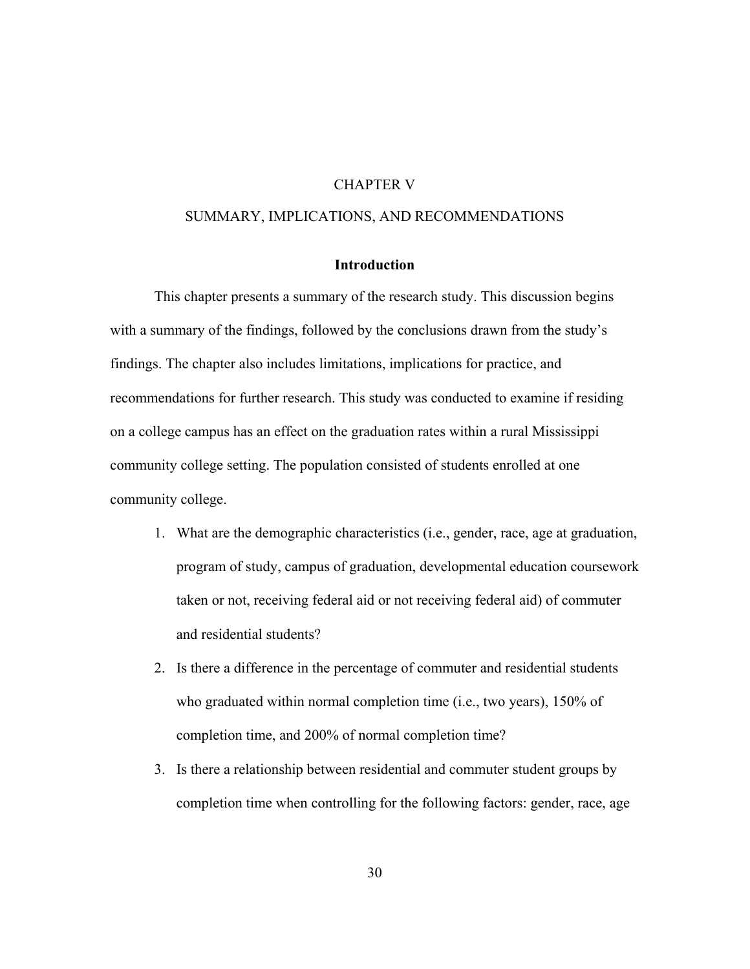## CHAPTER V

## <span id="page-39-0"></span>SUMMARY, IMPLICATIONS, AND RECOMMENDATIONS

## **Introduction**

<span id="page-39-1"></span>This chapter presents a summary of the research study. This discussion begins with a summary of the findings, followed by the conclusions drawn from the study's findings. The chapter also includes limitations, implications for practice, and recommendations for further research. This study was conducted to examine if residing on a college campus has an effect on the graduation rates within a rural Mississippi community college setting. The population consisted of students enrolled at one community college.

- 1. What are the demographic characteristics (i.e., gender, race, age at graduation, program of study, campus of graduation, developmental education coursework taken or not, receiving federal aid or not receiving federal aid) of commuter and residential students?
- 2. Is there a difference in the percentage of commuter and residential students who graduated within normal completion time (i.e., two years), 150% of completion time, and 200% of normal completion time?
- 3. Is there a relationship between residential and commuter student groups by completion time when controlling for the following factors: gender, race, age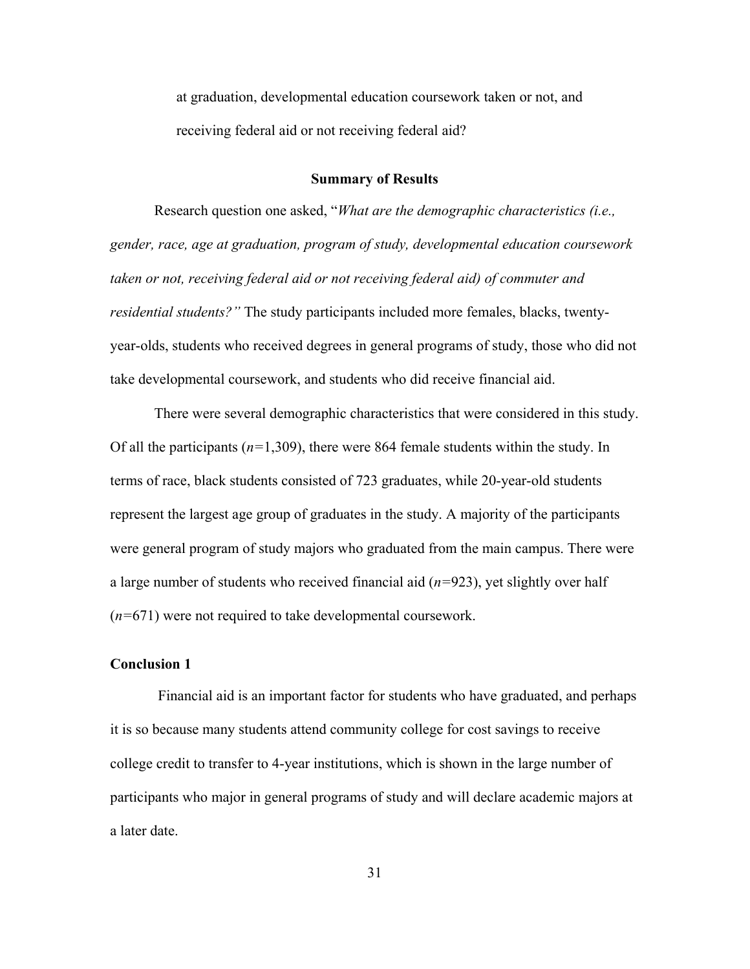at graduation, developmental education coursework taken or not, and receiving federal aid or not receiving federal aid?

#### **Summary of Results**

<span id="page-40-0"></span> Research question one asked, "*What are the demographic characteristics (i.e., residential students?"* The study participants included more females, blacks, twenty*gender, race, age at graduation, program of study, developmental education coursework taken or not, receiving federal aid or not receiving federal aid) of commuter and*  year-olds, students who received degrees in general programs of study, those who did not take developmental coursework, and students who did receive financial aid.

There were several demographic characteristics that were considered in this study. Of all the participants (*n=*1,309), there were 864 female students within the study. In terms of race, black students consisted of 723 graduates, while 20-year-old students represent the largest age group of graduates in the study. A majority of the participants were general program of study majors who graduated from the main campus. There were a large number of students who received financial aid (*n=*923), yet slightly over half (*n=*671) were not required to take developmental coursework.

#### <span id="page-40-1"></span>**Conclusion 1**

Financial aid is an important factor for students who have graduated, and perhaps it is so because many students attend community college for cost savings to receive college credit to transfer to 4-year institutions, which is shown in the large number of participants who major in general programs of study and will declare academic majors at a later date.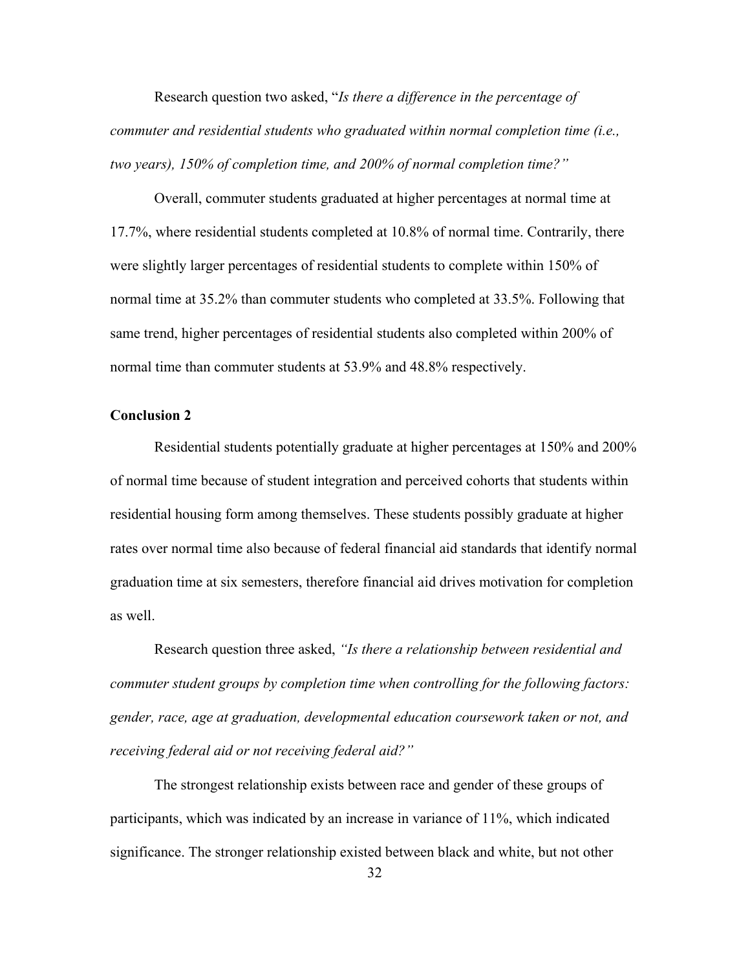*two years), 150% of completion time, and 200% of normal completion time?"* Research question two asked, "*Is there a difference in the percentage of commuter and residential students who graduated within normal completion time (i.e.,* 

Overall, commuter students graduated at higher percentages at normal time at 17.7%, where residential students completed at 10.8% of normal time. Contrarily, there were slightly larger percentages of residential students to complete within 150% of normal time at 35.2% than commuter students who completed at 33.5%. Following that same trend, higher percentages of residential students also completed within 200% of normal time than commuter students at 53.9% and 48.8% respectively.

#### <span id="page-41-0"></span> **Conclusion 2**

Residential students potentially graduate at higher percentages at 150% and 200% of normal time because of student integration and perceived cohorts that students within residential housing form among themselves. These students possibly graduate at higher rates over normal time also because of federal financial aid standards that identify normal graduation time at six semesters, therefore financial aid drives motivation for completion as well.

Research question three asked, *"Is there a relationship between residential and commuter student groups by completion time when controlling for the following factors: gender, race, age at graduation, developmental education coursework taken or not, and receiving federal aid or not receiving federal aid?"*

The strongest relationship exists between race and gender of these groups of participants, which was indicated by an increase in variance of 11%, which indicated significance. The stronger relationship existed between black and white, but not other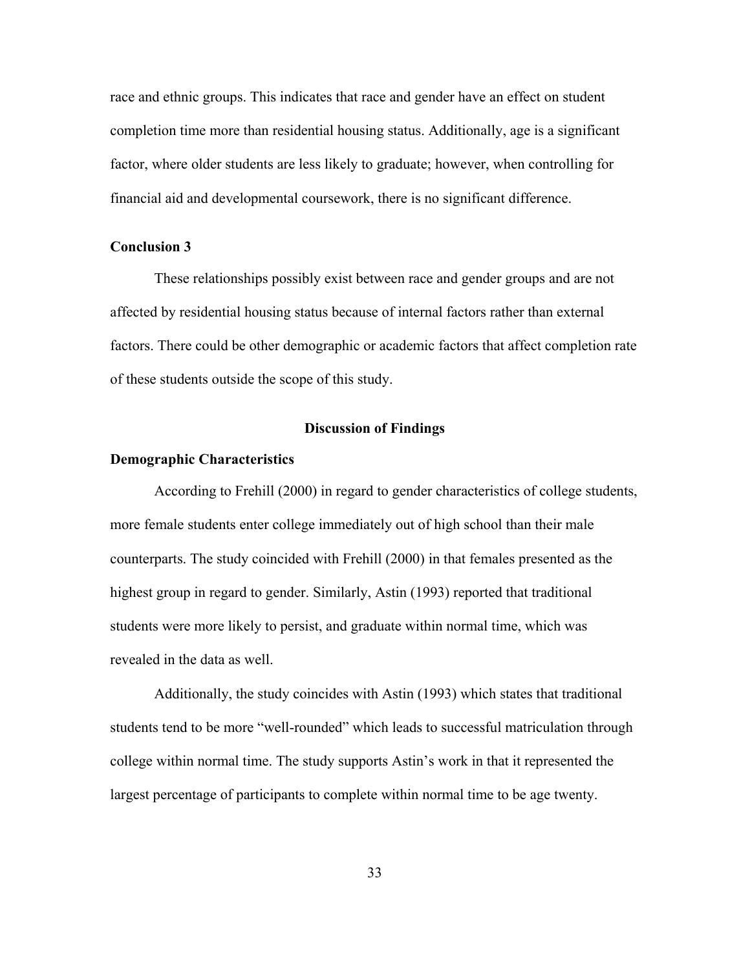financial aid and developmental coursework, there is no significant difference. race and ethnic groups. This indicates that race and gender have an effect on student completion time more than residential housing status. Additionally, age is a significant factor, where older students are less likely to graduate; however, when controlling for

## <span id="page-42-0"></span>**Conclusion 3**

These relationships possibly exist between race and gender groups and are not affected by residential housing status because of internal factors rather than external factors. There could be other demographic or academic factors that affect completion rate of these students outside the scope of this study.

#### **Discussion of Findings**

#### <span id="page-42-2"></span><span id="page-42-1"></span>**Demographic Characteristics**

According to Frehill (2000) in regard to gender characteristics of college students, more female students enter college immediately out of high school than their male counterparts. The study coincided with Frehill (2000) in that females presented as the highest group in regard to gender. Similarly, Astin (1993) reported that traditional students were more likely to persist, and graduate within normal time, which was revealed in the data as well.

Additionally, the study coincides with Astin (1993) which states that traditional students tend to be more "well-rounded" which leads to successful matriculation through college within normal time. The study supports Astin's work in that it represented the largest percentage of participants to complete within normal time to be age twenty.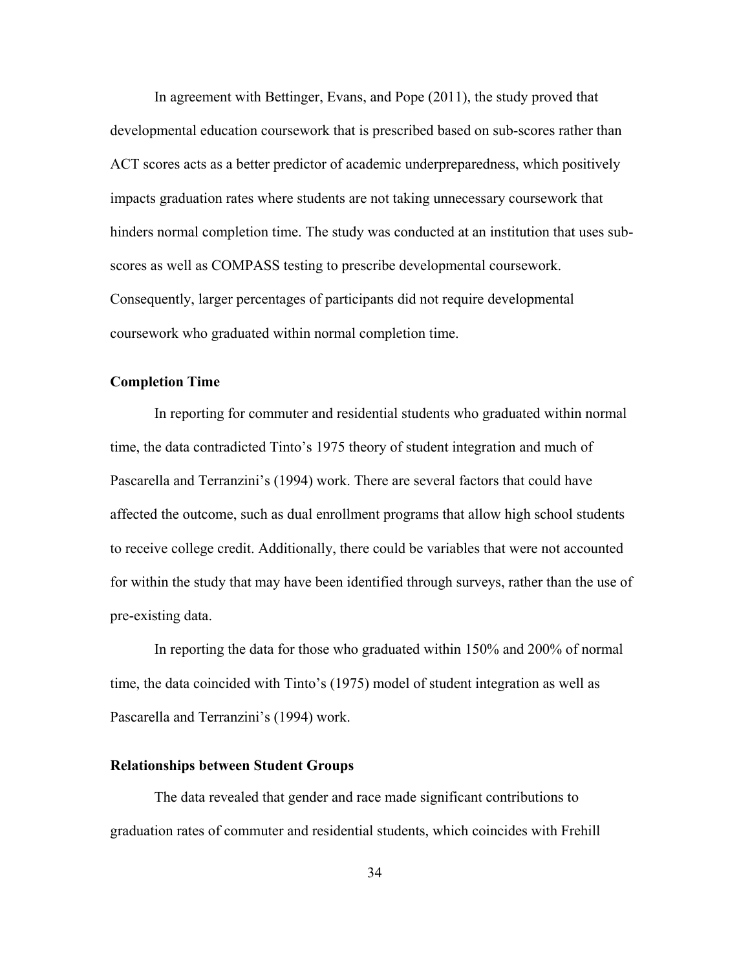In agreement with Bettinger, Evans, and Pope (2011), the study proved that developmental education coursework that is prescribed based on sub-scores rather than ACT scores acts as a better predictor of academic underpreparedness, which positively impacts graduation rates where students are not taking unnecessary coursework that hinders normal completion time. The study was conducted at an institution that uses subscores as well as COMPASS testing to prescribe developmental coursework. Consequently, larger percentages of participants did not require developmental coursework who graduated within normal completion time.

#### <span id="page-43-0"></span>**Completion Time**

 Pascarella and Terranzini's (1994) work. There are several factors that could have In reporting for commuter and residential students who graduated within normal time, the data contradicted Tinto's 1975 theory of student integration and much of affected the outcome, such as dual enrollment programs that allow high school students to receive college credit. Additionally, there could be variables that were not accounted for within the study that may have been identified through surveys, rather than the use of pre-existing data.

In reporting the data for those who graduated within 150% and 200% of normal time, the data coincided with Tinto's (1975) model of student integration as well as Pascarella and Terranzini's (1994) work.

### <span id="page-43-1"></span>**Relationships between Student Groups**

The data revealed that gender and race made significant contributions to graduation rates of commuter and residential students, which coincides with Frehill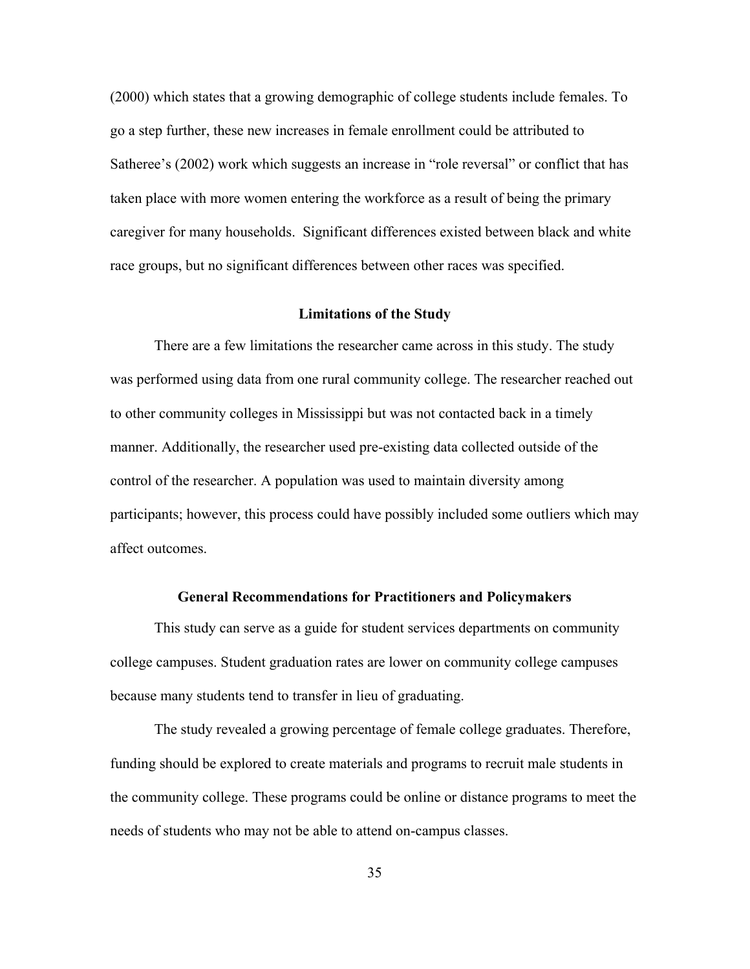(2000) which states that a growing demographic of college students include females. To go a step further, these new increases in female enrollment could be attributed to Satheree's (2002) work which suggests an increase in "role reversal" or conflict that has taken place with more women entering the workforce as a result of being the primary caregiver for many households. Significant differences existed between black and white race groups, but no significant differences between other races was specified.

#### **Limitations of the Study**

<span id="page-44-0"></span>There are a few limitations the researcher came across in this study. The study was performed using data from one rural community college. The researcher reached out to other community colleges in Mississippi but was not contacted back in a timely manner. Additionally, the researcher used pre-existing data collected outside of the control of the researcher. A population was used to maintain diversity among participants; however, this process could have possibly included some outliers which may affect outcomes.

#### **General Recommendations for Practitioners and Policymakers**

 college campuses. Student graduation rates are lower on community college campuses This study can serve as a guide for student services departments on community because many students tend to transfer in lieu of graduating.

 needs of students who may not be able to attend on-campus classes. The study revealed a growing percentage of female college graduates. Therefore, funding should be explored to create materials and programs to recruit male students in the community college. These programs could be online or distance programs to meet the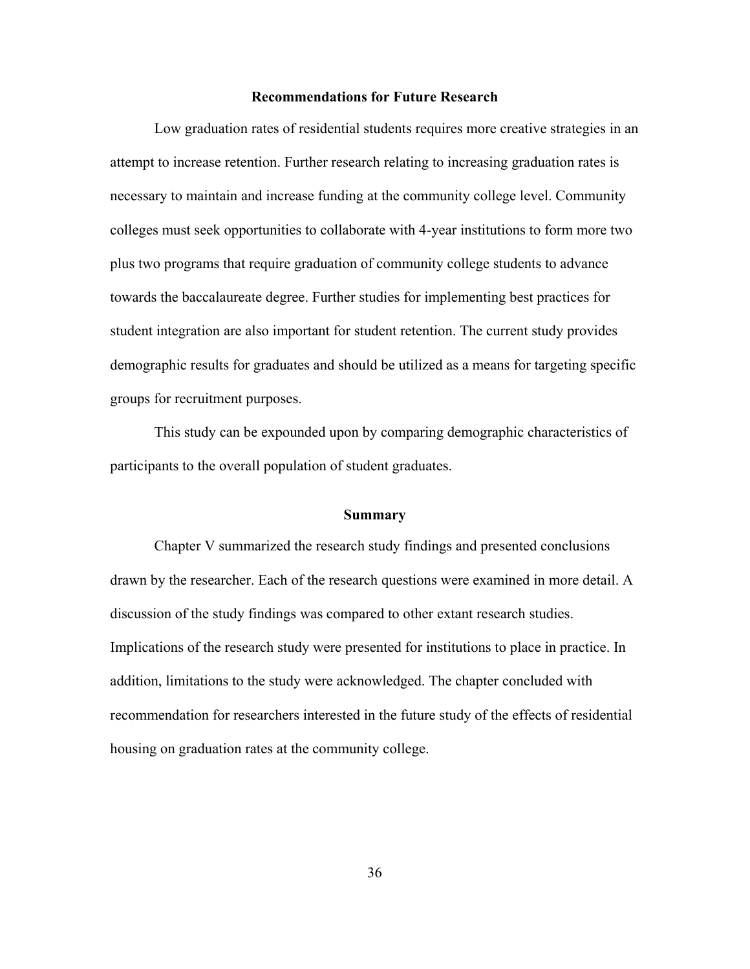#### **Recommendations for Future Research**

<span id="page-45-0"></span>Low graduation rates of residential students requires more creative strategies in an attempt to increase retention. Further research relating to increasing graduation rates is necessary to maintain and increase funding at the community college level. Community colleges must seek opportunities to collaborate with 4-year institutions to form more two plus two programs that require graduation of community college students to advance towards the baccalaureate degree. Further studies for implementing best practices for student integration are also important for student retention. The current study provides demographic results for graduates and should be utilized as a means for targeting specific groups for recruitment purposes.

This study can be expounded upon by comparing demographic characteristics of participants to the overall population of student graduates.

#### **Summary**

<span id="page-45-1"></span>Chapter V summarized the research study findings and presented conclusions drawn by the researcher. Each of the research questions were examined in more detail. A discussion of the study findings was compared to other extant research studies. Implications of the research study were presented for institutions to place in practice. In addition, limitations to the study were acknowledged. The chapter concluded with recommendation for researchers interested in the future study of the effects of residential housing on graduation rates at the community college.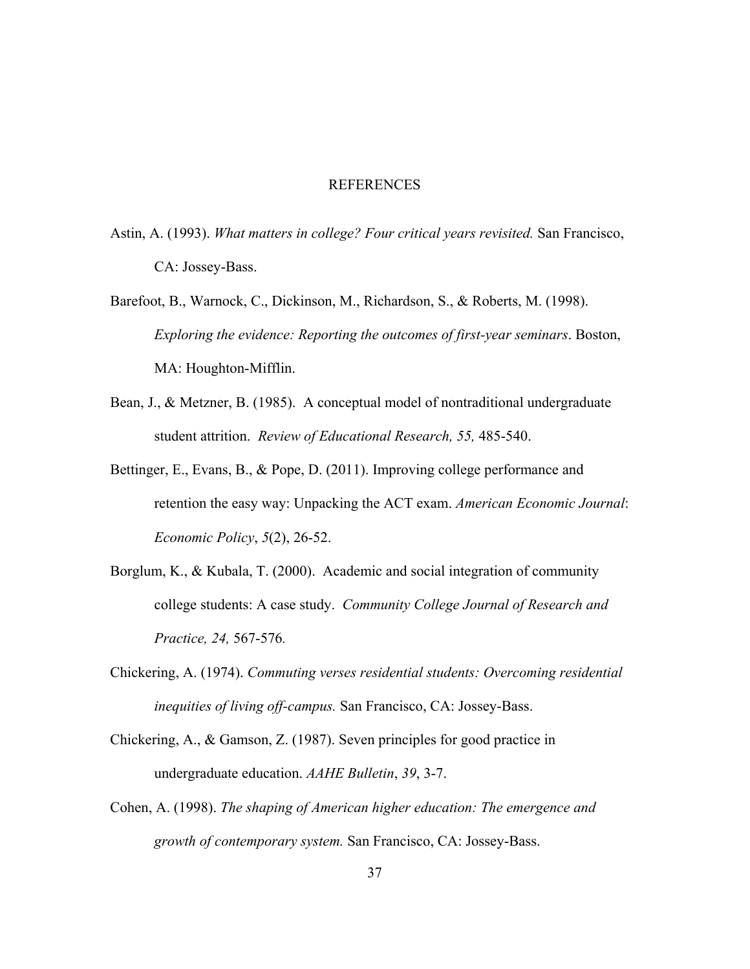#### REFERENCES

- <span id="page-46-0"></span>Astin, A. (1993). *What matters in college? Four critical years revisited.* San Francisco, CA: Jossey-Bass.
- Barefoot, B., Warnock, C., Dickinson, M., Richardson, S., & Roberts, M. (1998). *Exploring the evidence: Reporting the outcomes of first-year seminars*. Boston, MA: Houghton-Mifflin.
- Bean, J., & Metzner, B. (1985). A conceptual model of nontraditional undergraduate student attrition. *Review of Educational Research, 55,* 485-540.
- Bettinger, E., Evans, B., & Pope, D. (2011). Improving college performance and retention the easy way: Unpacking the ACT exam. *American Economic Journal*: *Economic Policy*, *5*(2), 26-52.
- Borglum, K., & Kubala, T. (2000). Academic and social integration of community college students: A case study. *Community College Journal of Research and Practice, 24,* 567-576*.*
- Chickering, A. (1974). *Commuting verses residential students: Overcoming residential inequities of living off-campus.* San Francisco, CA: Jossey-Bass.
- Chickering, A., & Gamson, Z. (1987). Seven principles for good practice in undergraduate education. *AAHE Bulletin*, *39*, 3-7.
- *growth of contemporary system.* San Francisco, CA: Jossey-Bass. Cohen, A. (1998). *The shaping of American higher education: The emergence and*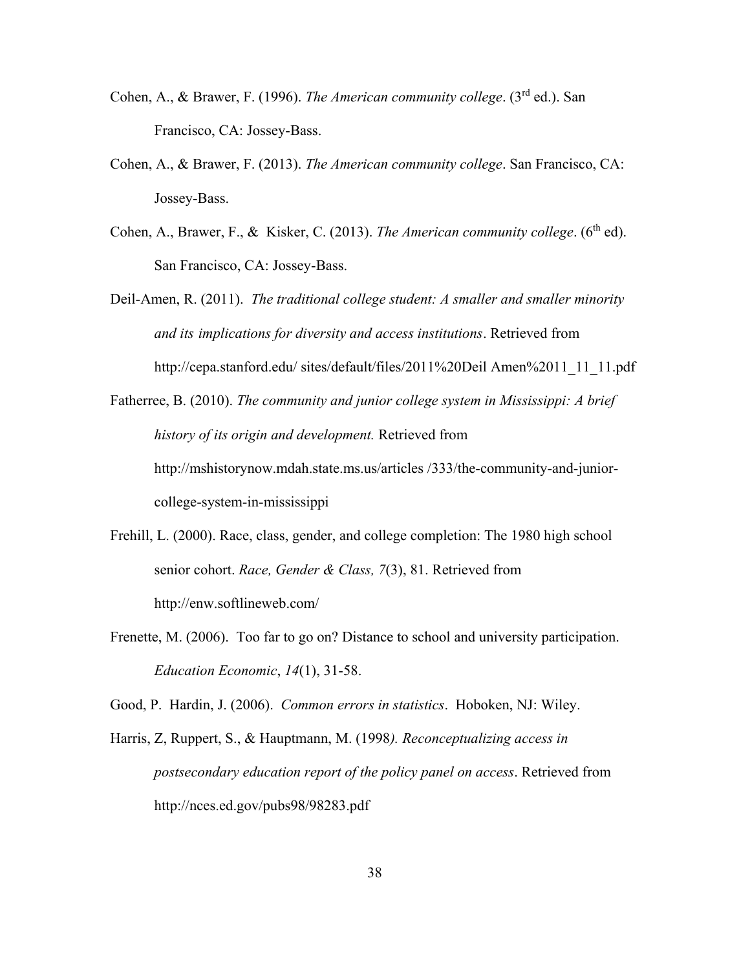- Cohen, A., & Brawer, F. (1996). *The American community college*. (3rd ed.). San Francisco, CA: Jossey-Bass.
- Jossey-Bass. Cohen, A., & Brawer, F. (2013). *The American community college*. San Francisco, CA:
- Cohen, A., Brawer, F., & Kisker, C. (2013). *The American community college*. (6<sup>th</sup> ed). San Francisco, CA: Jossey-Bass.
- Deil-Amen, R. (2011). *The traditional college student: A smaller and smaller minority and its implications for diversity and access institutions*. Retrieved from <http://cepa.stanford.edu>/ sites/default/files/2011%20Deil Amen%2011\_11\_11.pdf
- Fatherree, B. (2010). *The community and junior college system in Mississippi: A brief history of its origin and development.* Retrieved from <http://mshistorynow.mdah.state.ms.us/articles> /333/the-community-and-juniorcollege-system-in-mississippi
- Frehill, L. (2000). Race, class, gender, and college completion: The 1980 high school senior cohort. *Race, Gender & Class, 7*(3), 81. Retrieved from <http://enw.softlineweb.com/>
- Frenette, M. (2006). Too far to go on? Distance to school and university participation. *Education Economic*, *14*(1), 31-58.

Good, P. Hardin, J. (2006). *Common errors in statistics*. Hoboken, NJ: Wiley.

Harris, Z, Ruppert, S., & Hauptmann, M. (1998*). Reconceptualizing access in postsecondary education report of the policy panel on access*. Retrieved from <http://nces.ed.gov/pubs98/98283.pdf>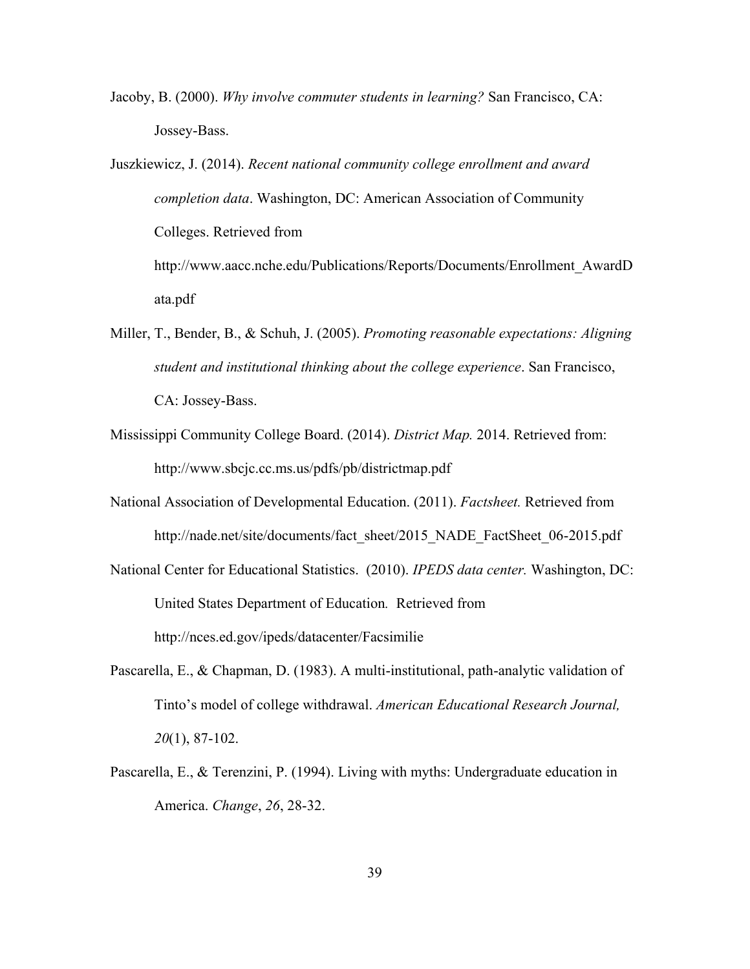- Jacoby, B. (2000). *Why involve commuter students in learning?* San Francisco, CA: Jossey-Bass.
- *completion data*. Washington, DC: American Association of Community Juszkiewicz, J. (2014). *Recent national community college enrollment and award*  Colleges. Retrieved from [http://www.aacc.nche.edu/Publications/Reports/Documents/Enrollment\\_AwardD](http://www.aacc.nche.edu/Publications/Reports/Documents/Enrollment_AwardData.pdf) [ata.pdf](http://www.aacc.nche.edu/Publications/Reports/Documents/Enrollment_AwardData.pdf)
- Miller, T., Bender, B., & Schuh, J. (2005). *Promoting reasonable expectations: Aligning student and institutional thinking about the college experience*. San Francisco, CA: Jossey-Bass.
- Mississippi Community College Board. (2014). *District Map.* 2014. Retrieved from: <http://www.sbcjc.cc.ms.us/pdfs/pb/districtmap.pdf>
- National Association of Developmental Education. (2011). *Factsheet.* Retrieved from [http://nade.net/site/documents/fact\\_sheet/2015\\_NADE\\_FactSheet\\_06-2015.pdf](http://nade.net/site/documents/fact_sheet/2015_NADE_FactSheet_06-2015.pdf)
- United States Department of Education*.* Retrieved from National Center for Educational Statistics. (2010). *IPEDS data center.* Washington, DC: <http://nces.ed.gov/ipeds/datacenter/Facsimilie>
- Pascarella, E., & Chapman, D. (1983). A multi-institutional, path-analytic validation of Tinto's model of college withdrawal. *American Educational Research Journal, 20*(1), 87-102.
- America. *Change*, *26*, 28-32. Pascarella, E., & Terenzini, P. (1994). Living with myths: Undergraduate education in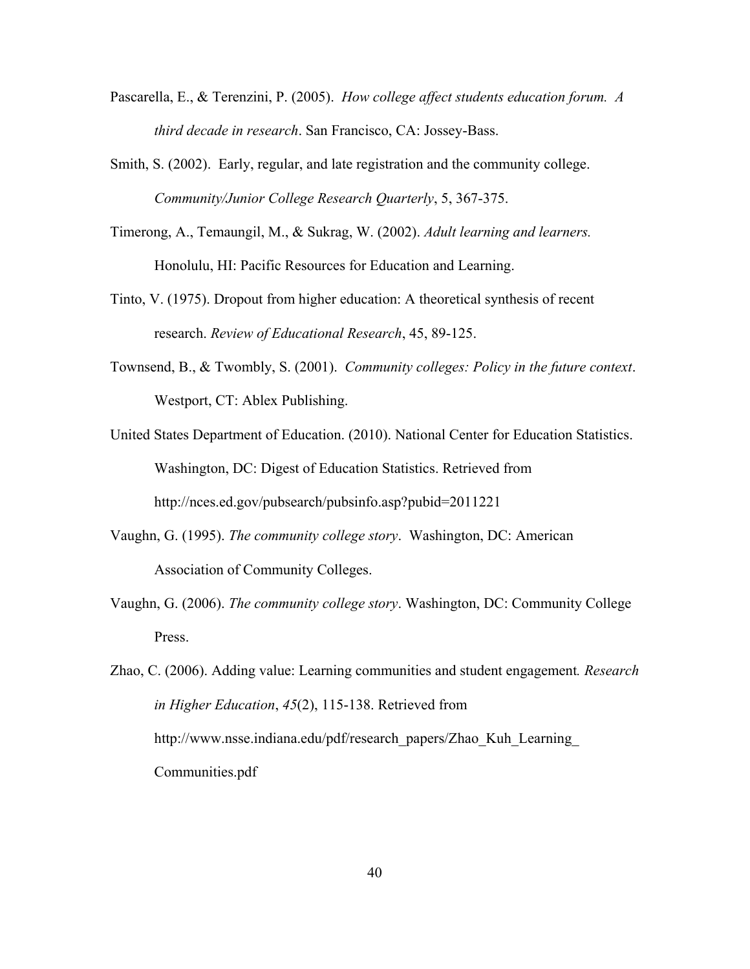- Pascarella, E., & Terenzini, P. (2005). *How college affect students education forum. A third decade in research*. San Francisco, CA: Jossey-Bass.
- Smith, S. (2002). Early, regular, and late registration and the community college. *Community/Junior College Research Quarterly*, 5, 367-375.
- Honolulu, HI: Pacific Resources for Education and Learning. Timerong, A., Temaungil, M., & Sukrag, W. (2002). *Adult learning and learners.*
- Tinto, V. (1975). Dropout from higher education: A theoretical synthesis of recent research. *Review of Educational Research*, 45, 89-125.
- Townsend, B., & Twombly, S. (2001). *Community colleges: Policy in the future context*. Westport, CT: Ablex Publishing.
- United States Department of Education. (2010). National Center for Education Statistics. Washington, DC: Digest of Education Statistics. Retrieved from <http://nces.ed.gov/pubsearch/pubsinfo.asp?pubid=2011221>
- Vaughn, G. (1995). *The community college story*. Washington, DC: American Association of Community Colleges.
- Vaughn, G. (2006). *The community college story*. Washington, DC: Community College Press.
- Zhao, C. (2006). Adding value: Learning communities and student engagement*. Research in Higher Education*, *45*(2), 115-138. Retrieved from http://www.nsse.indiana.edu/pdf/research\_papers/Zhao\_Kuh\_Learning [Communities.pdf](http://www.nsse.indiana.edu/pdf/research_papers/Zhao_Kuh_Learning_%20Communities.pdf)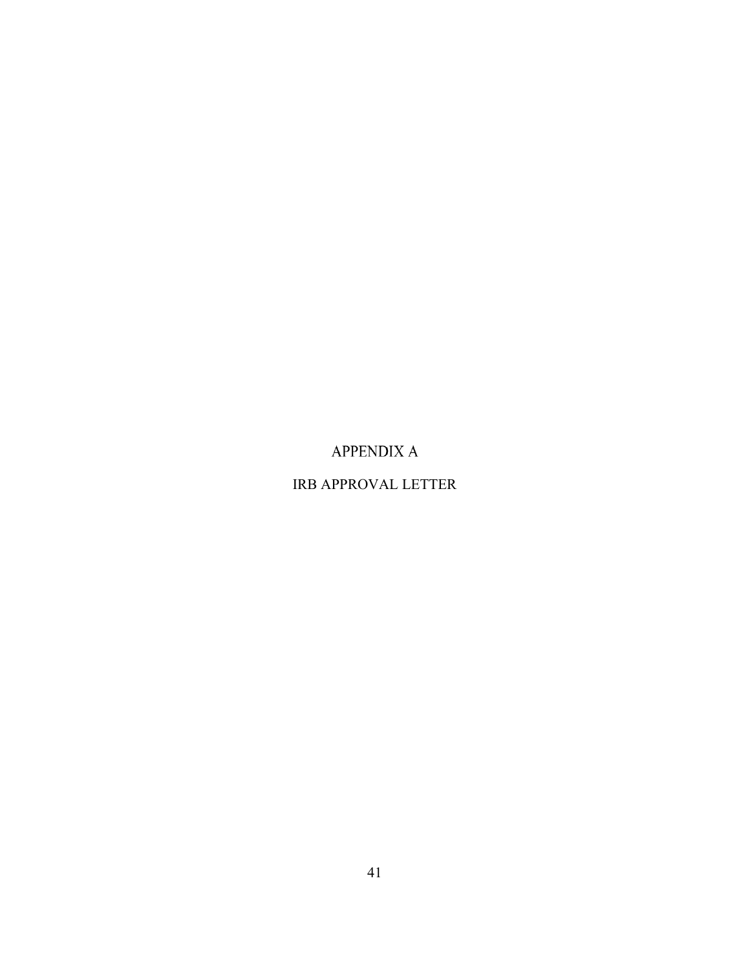# <span id="page-50-0"></span>**APPENDIX A**

# <span id="page-50-1"></span>IRB APPROVAL LETTER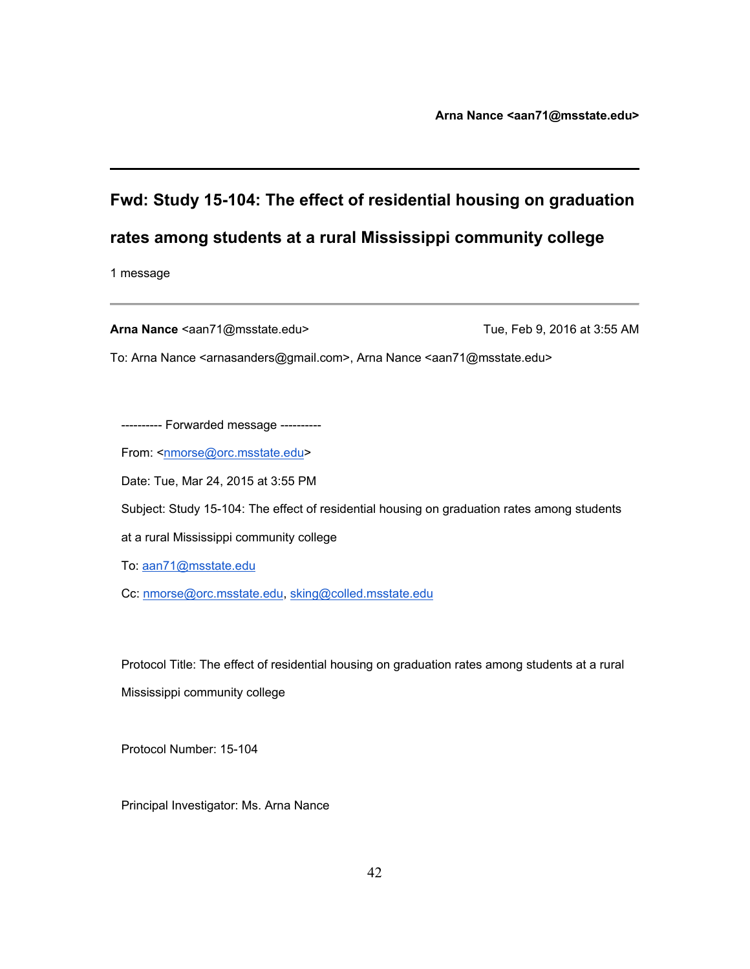# **Fwd: Study 15-104: The effect of residential housing on graduation**

# **rates among students at a rural Mississippi community college**

1 message

Arna Nance [<aan71@msstate.edu>](mailto:aan71@msstate.edu) Tue, Feb 9, 2016 at 3:55 AM To: Arna Nance <[arnasanders@gmail.com>](mailto:arnasanders@gmail.com), Arna Nance <[aan71@msstate.edu](mailto:aan71@msstate.edu)>

---------- Forwarded message ----------

From: <<u>nmorse@orc.msstate.edu</u>>

Date: Tue, Mar 24, 2015 at 3:55 PM

Subject: Study 15-104: The effect of residential housing on graduation rates among students

at a rural Mississippi community college

To: [aan71@msstate.edu](mailto:aan71@msstate.edu)

Cc: [nmorse@orc.msstate.edu,](mailto:nmorse@orc.msstate.edu) [sking@colled.msstate.edu](mailto:sking@colled.msstate.edu)

Protocol Title: The effect of residential housing on graduation rates among students at a rural Mississippi community college

Protocol Number: 15-104

Principal Investigator: Ms. Arna Nance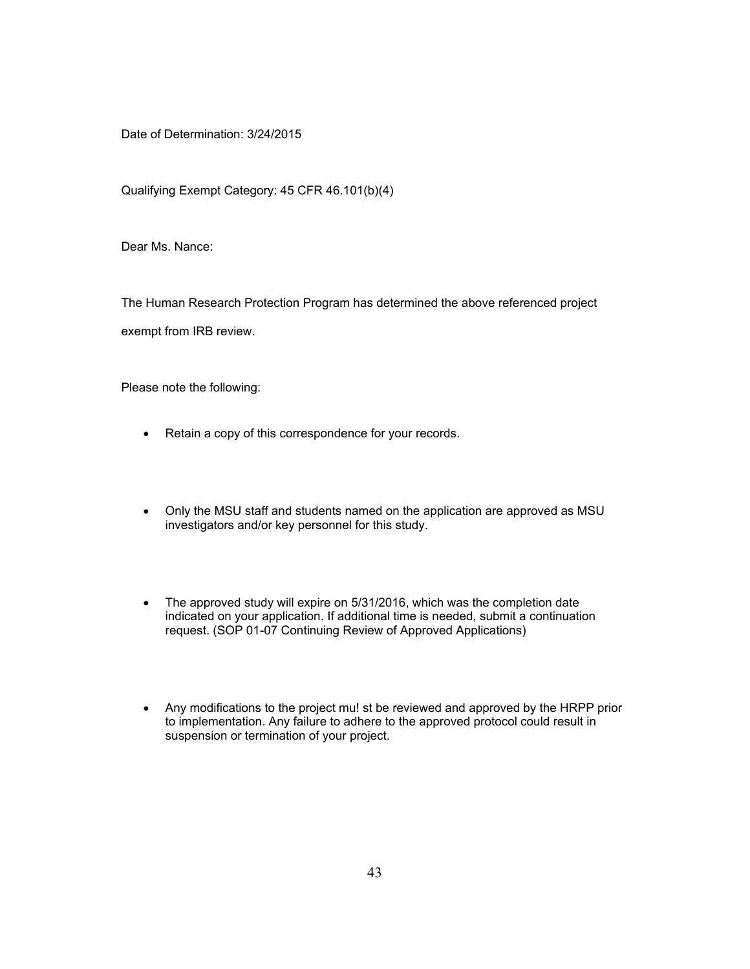Date of Determination: 3/24/2015

Qualifying Exempt Category: 45 CFR 46.101(b)(4)

Dear Ms. Nance:

The Human Research Protection Program has determined the above referenced project

exempt from IRB review.

Please note the following:

- Retain a copy of this correspondence for your records.
- investigators and/or key personnel for this study. Only the MSU staff and students named on the application are approved as MSU
- The approved study will expire on 5/31/2016, which was the completion date indicated on your application. If additional time is needed, submit a continuation request. (SOP 01-07 Continuing Review of Approved Applications)
- Any modifications to the project mu! st be reviewed and approved by the HRPP prior to implementation. Any failure to adhere to the approved protocol could result in suspension or termination of your project.